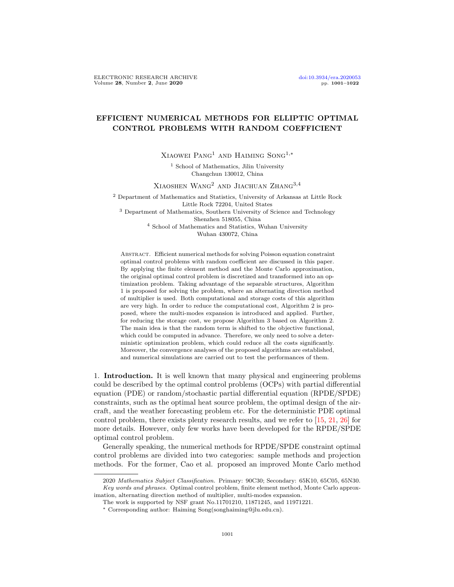# EFFICIENT NUMERICAL METHODS FOR ELLIPTIC OPTIMAL CONTROL PROBLEMS WITH RANDOM COEFFICIENT

Xiaowei Pang1 and Haiming Song1,∗

<sup>1</sup> School of Mathematics, Jilin University Changchun 130012, China

Xiaoshen Wang2 and Jiachuan Zhang3,4

<sup>2</sup> Department of Mathematics and Statistics, University of Arkansas at Little Rock Little Rock 72204, United States <sup>3</sup> Department of Mathematics, Southern University of Science and Technology Shenzhen 518055, China <sup>4</sup> School of Mathematics and Statistics, Wuhan University

Wuhan 430072, China

Abstract. Efficient numerical methods for solving Poisson equation constraint optimal control problems with random coefficient are discussed in this paper. By applying the finite element method and the Monte Carlo approximation, the original optimal control problem is discretized and transformed into an optimization problem. Taking advantage of the separable structures, Algorithm 1 is proposed for solving the problem, where an alternating direction method of multiplier is used. Both computational and storage costs of this algorithm are very high. In order to reduce the computational cost, Algorithm 2 is proposed, where the multi-modes expansion is introduced and applied. Further, for reducing the storage cost, we propose Algorithm 3 based on Algorithm 2. The main idea is that the random term is shifted to the objective functional, which could be computed in advance. Therefore, we only need to solve a deterministic optimization problem, which could reduce all the costs significantly. Moreover, the convergence analyses of the proposed algorithms are established, and numerical simulations are carried out to test the performances of them.

1. Introduction. It is well known that many physical and engineering problems could be described by the optimal control problems (OCPs) with partial differential equation (PDE) or random/stochastic partial differential equation (RPDE/SPDE) constraints, such as the optimal heat source problem, the optimal design of the aircraft, and the weather forecasting problem etc. For the deterministic PDE optimal control problem, there exists plenty research results, and we refer to [\[15,](#page-21-0) [21,](#page-21-1) [26\]](#page-21-2) for more details. However, only few works have been developed for the RPDE/SPDE optimal control problem.

Generally speaking, the numerical methods for RPDE/SPDE constraint optimal control problems are divided into two categories: sample methods and projection methods. For the former, Cao et al. proposed an improved Monte Carlo method

<sup>2020</sup> Mathematics Subject Classification. Primary: 90C30; Secondary: 65K10, 65C05, 65N30. Key words and phrases. Optimal control problem, finite element method, Monte Carlo approximation, alternating direction method of multiplier, multi-modes expansion.

The work is supported by NSF grant No.11701210, 11871245, and 11971221.

<sup>∗</sup> Corresponding author: Haiming Song(songhaiming@jlu.edu.cn).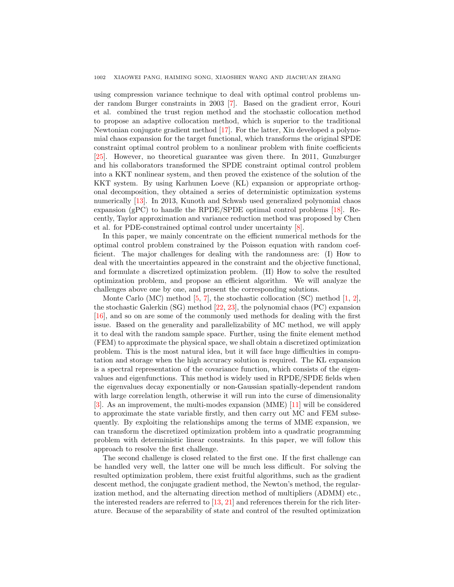using compression variance technique to deal with optimal control problems under random Burger constraints in 2003 [\[7\]](#page-20-0). Based on the gradient error, Kouri et al. combined the trust region method and the stochastic collocation method to propose an adaptive collocation method, which is superior to the traditional Newtonian conjugate gradient method [\[17\]](#page-21-3). For the latter, Xiu developed a polynomial chaos expansion for the target functional, which transforms the original SPDE constraint optimal control problem to a nonlinear problem with finite coefficients [\[25\]](#page-21-4). However, no theoretical guarantee was given there. In 2011, Gunzburger and his collaborators transformed the SPDE constraint optimal control problem into a KKT nonlinear system, and then proved the existence of the solution of the KKT system. By using Karhunen Loeve (KL) expansion or appropriate orthogonal decomposition, they obtained a series of deterministic optimization systems numerically [\[13\]](#page-20-1). In 2013, Kunoth and Schwab used generalized polynomial chaos expansion (gPC) to handle the RPDE/SPDE optimal control problems [\[18\]](#page-21-5). Recently, Taylor approximation and variance reduction method was proposed by Chen et al. for PDE-constrained optimal control under uncertainty [\[8\]](#page-20-2).

In this paper, we mainly concentrate on the efficient numerical methods for the optimal control problem constrained by the Poisson equation with random coefficient. The major challenges for dealing with the randomness are: (I) How to deal with the uncertainties appeared in the constraint and the objective functional, and formulate a discretized optimization problem. (II) How to solve the resulted optimization problem, and propose an efficient algorithm. We will analyze the challenges above one by one, and present the corresponding solutions.

Monte Carlo  $(MC)$  method [\[5,](#page-20-3) [7\]](#page-20-0), the stochastic collocation  $(SC)$  method [\[1,](#page-20-4) [2\]](#page-20-5), the stochastic Galerkin (SG) method [\[22,](#page-21-6) [23\]](#page-21-7), the polynomial chaos (PC) expansion [\[16\]](#page-21-8), and so on are some of the commonly used methods for dealing with the first issue. Based on the generality and parallelizability of MC method, we will apply it to deal with the random sample space. Further, using the finite element method (FEM) to approximate the physical space, we shall obtain a discretized optimization problem. This is the most natural idea, but it will face huge difficulties in computation and storage when the high accuracy solution is required. The KL expansion is a spectral representation of the covariance function, which consists of the eigenvalues and eigenfunctions. This method is widely used in RPDE/SPDE fields when the eigenvalues decay exponentially or non-Gaussian spatially-dependent random with large correlation length, otherwise it will run into the curse of dimensionality [\[3\]](#page-20-6). As an improvement, the multi-modes expansion (MME) [\[11\]](#page-20-7) will be considered to approximate the state variable firstly, and then carry out MC and FEM subsequently. By exploiting the relationships among the terms of MME expansion, we can transform the discretized optimization problem into a quadratic programming problem with deterministic linear constraints. In this paper, we will follow this approach to resolve the first challenge.

The second challenge is closed related to the first one. If the first challenge can be handled very well, the latter one will be much less difficult. For solving the resulted optimization problem, there exist fruitful algorithms, such as the gradient descent method, the conjugate gradient method, the Newton's method, the regularization method, and the alternating direction method of multipliers (ADMM) etc., the interested readers are referred to [\[13,](#page-20-1) [21\]](#page-21-1) and references therein for the rich literature. Because of the separability of state and control of the resulted optimization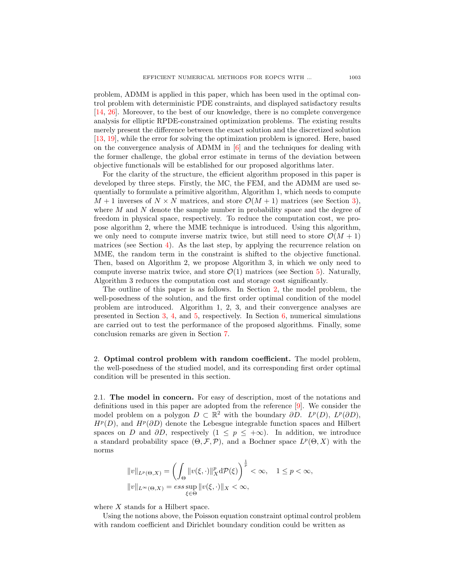problem, ADMM is applied in this paper, which has been used in the optimal control problem with deterministic PDE constraints, and displayed satisfactory results [\[14,](#page-21-9) [26\]](#page-21-2). Moreover, to the best of our knowledge, there is no complete convergence analysis for elliptic RPDE-constrained optimization problems. The existing results merely present the difference between the exact solution and the discretized solution [\[13,](#page-20-1) [19\]](#page-21-10), while the error for solving the optimization problem is ignored. Here, based on the convergence analysis of ADMM in  $[6]$  and the techniques for dealing with the former challenge, the global error estimate in terms of the deviation between objective functionals will be established for our proposed algorithms later.

For the clarity of the structure, the efficient algorithm proposed in this paper is developed by three steps. Firstly, the MC, the FEM, and the ADMM are used sequentially to formulate a primitive algorithm, Algorithm 1, which needs to compute  $M + 1$  inverses of  $N \times N$  matrices, and store  $\mathcal{O}(M + 1)$  matrices (see Section [3\)](#page-4-0), where M and N denote the sample number in probability space and the degree of freedom in physical space, respectively. To reduce the computation cost, we propose algorithm 2, where the MME technique is introduced. Using this algorithm, we only need to compute inverse matrix twice, but still need to store  $\mathcal{O}(M+1)$ matrices (see Section [4\)](#page-9-0). As the last step, by applying the recurrence relation on MME, the random term in the constraint is shifted to the objective functional. Then, based on Algorithm 2, we propose Algorithm 3, in which we only need to compute inverse matrix twice, and store  $\mathcal{O}(1)$  matrices (see Section [5\)](#page-13-0). Naturally, Algorithm 3 reduces the computation cost and storage cost significantly.

The outline of this paper is as follows. In Section [2,](#page-2-0) the model problem, the well-posedness of the solution, and the first order optimal condition of the model problem are introduced. Algorithm 1, 2, 3, and their convergence analyses are presented in Section [3,](#page-4-0) [4,](#page-9-0) and [5,](#page-13-0) respectively. In Section [6,](#page-15-0) numerical simulations are carried out to test the performance of the proposed algorithms. Finally, some conclusion remarks are given in Section [7.](#page-17-0)

<span id="page-2-0"></span>2. Optimal control problem with random coefficient. The model problem, the well-posedness of the studied model, and its corresponding first order optimal condition will be presented in this section.

2.1. The model in concern. For easy of description, most of the notations and definitions used in this paper are adopted from the reference [\[9\]](#page-20-9). We consider the model problem on a polygon  $D \subset \mathbb{R}^2$  with the boundary  $\partial D$ .  $L^p(D)$ ,  $L^p(\partial D)$ ,  $H^p(D)$ , and  $H^p(\partial D)$  denote the Lebesgue integrable function spaces and Hilbert spaces on D and  $\partial D$ , respectively  $(1 \leq p \leq +\infty)$ . In addition, we introduce a standard probability space  $(\Theta, \mathcal{F}, \mathcal{P})$ , and a Bochner space  $L^p(\Theta, X)$  with the norms

$$
||v||_{L^p(\Theta,X)} = \left(\int_{\Theta} ||v(\xi,\cdot)||_X^p d\mathcal{P}(\xi)\right)^{\frac{1}{p}} < \infty, \quad 1 \le p < \infty,
$$
  

$$
||v||_{L^{\infty}(\Theta,X)} = \operatorname{ess} \sup_{\xi \in \Theta} ||v(\xi,\cdot)||_X < \infty,
$$

where X stands for a Hilbert space.

Using the notions above, the Poisson equation constraint optimal control problem with random coefficient and Dirichlet boundary condition could be written as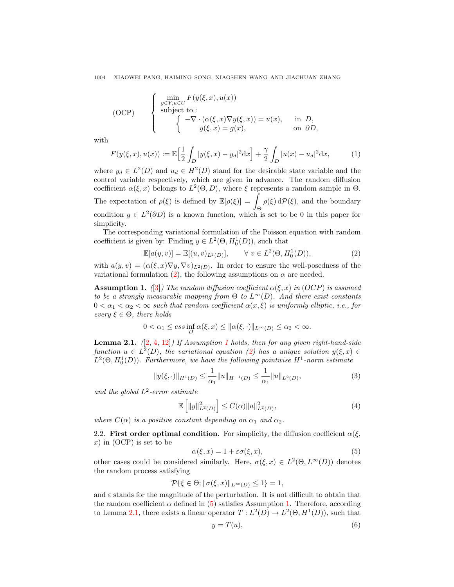(OCP) 
$$
\begin{cases}\n\min_{y \in Y, u \in U} F(y(\xi, x), u(x)) \\
\text{subject to:} \\
\begin{cases}\n-\nabla \cdot (\alpha(\xi, x) \nabla y(\xi, x)) = u(x), & \text{in } D, \\
y(\xi, x) = g(x), & \text{on } \partial D,\n\end{cases}\n\end{cases}
$$

with

<span id="page-3-7"></span>
$$
F(y(\xi, x), u(x)) := \mathbb{E}\Big[\frac{1}{2} \int_D |y(\xi, x) - y_d|^2 \, dx\Big] + \frac{\gamma}{2} \int_D |u(x) - u_d|^2 \, dx,\tag{1}
$$

where  $y_d \in L^2(D)$  and  $u_d \in H^2(D)$  stand for the desirable state variable and the control variable respectively, which are given in advance. The random diffusion coefficient  $\alpha(\xi, x)$  belongs to  $L^2(\Theta, D)$ , where  $\xi$  represents a random sample in  $\Theta$ . The expectation of  $\rho(\xi)$  is defined by  $\mathbb{E}[\rho(\xi)]=$ Θ  $\rho(\xi) dP(\xi)$ , and the boundary condition  $g \in L^2(\partial D)$  is a known function, which is set to be 0 in this paper for simplicity.

The corresponding variational formulation of the Poisson equation with random coefficient is given by: Finding  $y \in L^2(\Theta, H_0^1(D))$ , such that

<span id="page-3-0"></span>
$$
\mathbb{E}[a(y,v)] = \mathbb{E}[(u,v)_{L^2(D)}], \qquad \forall \ v \in L^2(\Theta, H_0^1(D)), \tag{2}
$$

with  $a(y, v) = (\alpha(\xi, x) \nabla y, \nabla v)_{L^2(D)}$ . In order to ensure the well-posedness of the variational formulation [\(2\)](#page-3-0), the following assumptions on  $\alpha$  are needed.

<span id="page-3-1"></span>**Assumption 1.** ([\[3\]](#page-20-6)) The random diffusion coefficient  $\alpha(\xi, x)$  in (OCP) is assumed to be a strongly measurable mapping from  $\Theta$  to  $L^{\infty}(D)$ . And there exist constants  $0 < \alpha_1 < \alpha_2 < \infty$  such that random coefficient  $\alpha(x, \xi)$  is uniformly elliptic, i.e., for every  $\xi \in \Theta$ , there holds

$$
0 < \alpha_1 \le \operatorname{ess\,inf}_D \alpha(\xi, x) \le \|\alpha(\xi, \cdot)\|_{L^\infty(D)} \le \alpha_2 < \infty.
$$

<span id="page-3-3"></span>**Lemma 2.[1](#page-3-1).**  $(2, 4, 12)$  $(2, 4, 12)$  $(2, 4, 12)$  If Assumption 1 holds, then for any given right-hand-side function  $u \in L^2(D)$ , the variational equation [\(2\)](#page-3-0) has a unique solution  $y(\xi, x) \in$  $L^2(\Theta, H_0^1(D)).$  Furthermore, we have the following pointwise  $H^1$ -norm estimate

<span id="page-3-4"></span>
$$
||y(\xi,\cdot)||_{H^1(D)} \le \frac{1}{\alpha_1} ||u||_{H^{-1}(D)} \le \frac{1}{\alpha_1} ||u||_{L^2(D)},
$$
\n(3)

and the global  $L^2$ -error estimate

<span id="page-3-6"></span>
$$
\mathbb{E}\left[\|y\|_{L^2(D)}^2\right] \le C(\alpha) \|u\|_{L^2(D)}^2,
$$
\n(4)

where  $C(\alpha)$  is a positive constant depending on  $\alpha_1$  and  $\alpha_2$ .

2.2. First order optimal condition. For simplicity, the diffusion coefficient  $\alpha(\xi)$ ,  $x)$  in (OCP) is set to be

<span id="page-3-2"></span>
$$
\alpha(\xi, x) = 1 + \varepsilon \sigma(\xi, x),\tag{5}
$$

other cases could be considered similarly. Here,  $\sigma(\xi, x) \in L^2(\Theta, L^{\infty}(D))$  denotes the random process satisfying

$$
\mathcal{P}\{\xi \in \Theta; \|\sigma(\xi, x)\|_{L^{\infty}(D)} \le 1\} = 1,
$$

and  $\varepsilon$  stands for the magnitude of the perturbation. It is not difficult to obtain that the random coefficient  $\alpha$  defined in [\(5\)](#page-3-2) satisfies Assumption [1.](#page-3-1) Therefore, according to Lemma [2.1,](#page-3-3) there exists a linear operator  $T: L^2(D) \to L^2(\Theta, H^1(D))$ , such that

<span id="page-3-5"></span>
$$
y = T(u),\tag{6}
$$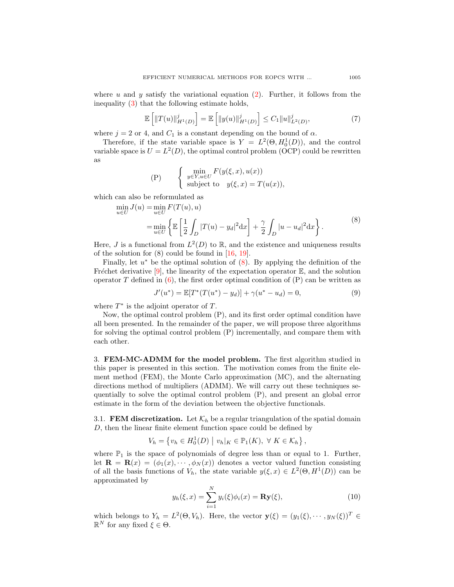where u and y satisfy the variational equation [\(2\)](#page-3-0). Further, it follows from the inequality [\(3\)](#page-3-4) that the following estimate holds,

<span id="page-4-2"></span>
$$
\mathbb{E}\left[\|T(u)\|_{H^1(D)}^j\right] = \mathbb{E}\left[\|y(u)\|_{H^1(D)}^j\right] \le C_1 \|u\|_{L^2(D)}^j,\tag{7}
$$

where  $j = 2$  or 4, and  $C_1$  is a constant depending on the bound of  $\alpha$ .

Therefore, if the state variable space is  $Y = L^2(\Theta, H_0^1(D))$ , and the control variable space is  $U = L^2(D)$ , the optimal control problem (OCP) could be rewritten as

(P) 
$$
\begin{cases} \min_{y \in Y, u \in U} F(y(\xi, x), u(x)) \\ \text{subject to} \quad y(\xi, x) = T(u(x)), \end{cases}
$$

which can also be reformulated as

<span id="page-4-1"></span>
$$
\min_{u \in U} J(u) = \min_{u \in U} F(T(u), u) \n= \min_{u \in U} \left\{ \mathbb{E} \left[ \frac{1}{2} \int_D |T(u) - y_d|^2 dx \right] + \frac{\gamma}{2} \int_D |u - u_d|^2 dx \right\}.
$$
\n(8)

Here, J is a functional from  $L^2(D)$  to R, and the existence and uniqueness results of the solution for (8) could be found in [\[16,](#page-21-8) [19\]](#page-21-10).

Finally, let  $u^*$  be the optimal solution of  $(8)$ . By applying the definition of the Fréchet derivative  $[9]$ , the linearity of the expectation operator  $\mathbb{E}$ , and the solution operator T defined in  $(6)$ , the first order optimal condition of  $(P)$  can be written as

<span id="page-4-4"></span>
$$
J'(u^*) = \mathbb{E}[T^*(T(u^*) - y_d)] + \gamma(u^* - u_d) = 0,
$$
\n(9)

where  $T^*$  is the adjoint operator of  $T$ .

Now, the optimal control problem (P), and its first order optimal condition have all been presented. In the remainder of the paper, we will propose three algorithms for solving the optimal control problem (P) incrementally, and compare them with each other.

<span id="page-4-0"></span>3. FEM-MC-ADMM for the model problem. The first algorithm studied in this paper is presented in this section. The motivation comes from the finite element method (FEM), the Monte Carlo approximation (MC), and the alternating directions method of multipliers (ADMM). We will carry out these techniques sequentially to solve the optimal control problem (P), and present an global error estimate in the form of the deviation between the objective functionals.

3.1. FEM discretization. Let  $\mathcal{K}_h$  be a regular triangulation of the spatial domain D, then the linear finite element function space could be defined by

$$
V_h = \left\{ v_h \in H_0^1(D) \mid v_h|_K \in \mathbb{P}_1(K), \ \forall \ K \in \mathcal{K}_h \right\},\
$$

where  $\mathbb{P}_1$  is the space of polynomials of degree less than or equal to 1. Further, let  $\mathbf{R} = \mathbf{R}(x) = (\phi_1(x), \cdots, \phi_N(x))$  denotes a vector valued function consisting of all the basis functions of  $V_h$ , the state variable  $y(\xi, x) \in L^2(\Theta, H^1(D))$  can be approximated by

<span id="page-4-3"></span>
$$
y_h(\xi, x) = \sum_{i=1}^N y_i(\xi)\phi_i(x) = \mathbf{R} \mathbf{y}(\xi),
$$
 (10)

which belongs to  $Y_h = L^2(\Theta, V_h)$ . Here, the vector  $\mathbf{y}(\xi) = (y_1(\xi), \cdots, y_N(\xi))^T \in$  $\mathbb{R}^N$  for any fixed  $\xi \in \Theta$ .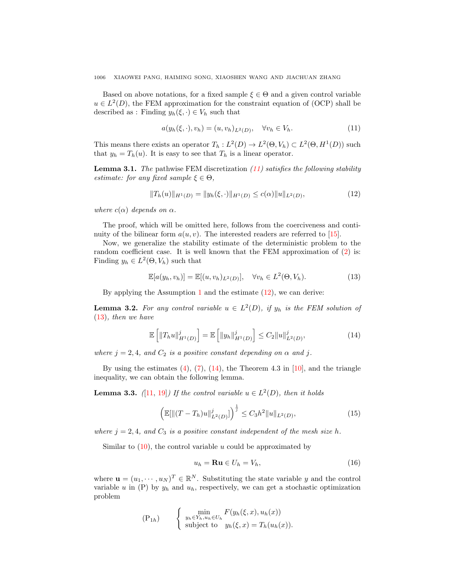Based on above notations, for a fixed sample  $\xi \in \Theta$  and a given control variable  $u \in L^2(D)$ , the FEM approximation for the constraint equation of (OCP) shall be described as : Finding  $y_h(\xi, \cdot) \in V_h$  such that

<span id="page-5-0"></span>
$$
a(y_h(\xi, \cdot), v_h) = (u, v_h)_{L^2(D)}, \quad \forall v_h \in V_h.
$$
\n
$$
(11)
$$

This means there exists an operator  $T_h: L^2(D) \to L^2(\Theta, V_h) \subset L^2(\Theta, H^1(D))$  such that  $y_h = T_h(u)$ . It is easy to see that  $T_h$  is a linear operator.

**Lemma 3.1.** The pathwise FEM discretization  $(11)$  satisfies the following stability estimate: for any fixed sample  $\xi \in \Theta$ .

<span id="page-5-1"></span>
$$
||T_h(u)||_{H^1(D)} = ||y_h(\xi, \cdot)||_{H^1(D)} \le c(\alpha)||u||_{L^2(D)},
$$
\n(12)

where  $c(\alpha)$  depends on  $\alpha$ .

The proof, which will be omitted here, follows from the coerciveness and continuity of the bilinear form  $a(u, v)$ . The interested readers are referred to [\[15\]](#page-21-0).

Now, we generalize the stability estimate of the deterministic problem to the random coefficient case. It is well known that the FEM approximation of  $(2)$  is: Finding  $y_h \in L^2(\Theta, V_h)$  such that

<span id="page-5-2"></span>
$$
\mathbb{E}[a(y_h, v_h)] = \mathbb{E}[(u, v_h)_{L^2(D)}], \quad \forall v_h \in L^2(\Theta, V_h). \tag{13}
$$

By applying the Assumption [1](#page-3-1) and the estimate  $(12)$ , we can derive:

**Lemma 3.2.** For any control variable  $u \in L^2(D)$ , if  $y_h$  is the FEM solution of [\(13\)](#page-5-2), then we have

<span id="page-5-3"></span>
$$
\mathbb{E}\left[\|T_h u\|_{H^1(D)}^j\right] = \mathbb{E}\left[\|y_h\|_{H^1(D)}^j\right] \le C_2 \|u\|_{L^2(D)}^j,
$$
\n(14)

where  $j = 2, 4$ , and  $C_2$  is a positive constant depending on  $\alpha$  and j.

By using the estimates  $(4)$ ,  $(7)$ ,  $(14)$ , the Theorem 4.3 in  $[10]$ , and the triangle inequality, we can obtain the following lemma.

**Lemma 3.3.** ([\[11,](#page-20-7) [19\]](#page-21-10)) If the control variable  $u \in L^2(D)$ , then it holds

<span id="page-5-5"></span>
$$
\left(\mathbb{E}[\|(T - T_h)u\|_{L^2(D)}^j]\right)^{\frac{1}{j}} \le C_3 h^2 \|u\|_{L^2(D)},\tag{15}
$$

where  $j = 2, 4$ , and  $C_3$  is a positive constant independent of the mesh size h.

Similar to  $(10)$ , the control variable u could be approximated by

<span id="page-5-4"></span>
$$
u_h = \mathbf{R} \mathbf{u} \in U_h = V_h,\tag{16}
$$

where  $\mathbf{u} = (u_1, \dots, u_N)^T \in \mathbb{R}^N$ . Substituting the state variable y and the control variable u in  $(P)$  by  $y_h$  and  $u_h$ , respectively, we can get a stochastic optimization problem

$$
\begin{aligned} \n(\mathbf{P}_{1h}) \quad \left\{ \begin{array}{c} \min_{y_h \in Y_h, u_h \in U_h} F(y_h(\xi, x), u_h(x)) \\ \text{subject to} \quad y_h(\xi, x) = T_h(u_h(x)). \end{array} \right. \end{aligned}
$$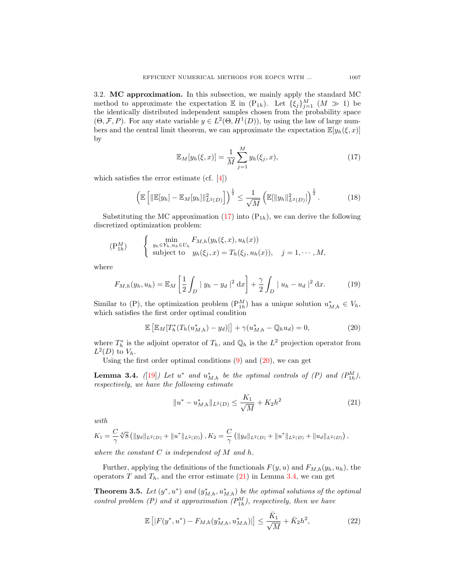3.2. MC approximation. In this subsection, we mainly apply the standard MC method to approximate the expectation  $\mathbb E$  in  $(P_{1h})$ . Let  $\{\xi_j\}_{j=1}^M$   $(M \gg 1)$  be the identically distributed independent samples chosen from the probability space  $(\Theta, \mathcal{F}, P)$ . For any state variable  $y \in L^2(\Theta, H^1(D))$ , by using the law of large numbers and the central limit theorem, we can approximate the expectation  $\mathbb{E}[y_h(\xi, x)]$ by

<span id="page-6-0"></span>
$$
\mathbb{E}_M[y_h(\xi, x)] = \frac{1}{M} \sum_{j=1}^M y_h(\xi_j, x), \qquad (17)
$$

which satisfies the error estimate (cf. [\[4\]](#page-20-10))

<span id="page-6-6"></span>
$$
\left(\mathbb{E}\left[\|\mathbb{E}[y_h] - \mathbb{E}_M[y_h]\|_{L^2(D)}^2\right]\right)^{\frac{1}{2}} \le \frac{1}{\sqrt{M}}\left(\mathbb{E}[\|y_h\|_{L^2(D)}^2]\right)^{\frac{1}{2}}.\tag{18}
$$

Substituting the MC approximation  $(17)$  into  $(P_{1h})$ , we can derive the following discretized optimization problem:

$$
\begin{aligned}\n(\mathbf{P}_{1h}^M) \qquad & \begin{cases}\n\min_{y_h \in Y_h, u_h \in U_h} F_{M,h}(y_h(\xi, x), u_h(x)) \\
\text{subject to} \quad y_h(\xi_j, x) = T_h(\xi_j, u_h(x)), \quad j = 1, \cdots, M,\n\end{cases}\n\end{aligned}
$$

where

<span id="page-6-5"></span>
$$
F_{M,h}(y_h, u_h) = \mathbb{E}_M \left[ \frac{1}{2} \int_D |y_h - y_d|^2 \, dx \right] + \frac{\gamma}{2} \int_D |u_h - u_d|^2 \, dx. \tag{19}
$$

Similar to (P), the optimization problem  $(P_{1h}^M)$  has a unique solution  $u_{M,h}^* \in V_h$ , which satisfies the first order optimal condition

<span id="page-6-1"></span>
$$
\mathbb{E}\left[\mathbb{E}_M[T_h^*(T_h(u_{M,h}^*) - y_d)]\right] + \gamma(u_{M,h}^* - \mathbb{Q}_h u_d) = 0,\tag{20}
$$

where  $T_h^*$  is the adjoint operator of  $T_h$ , and  $\mathbb{Q}_h$  is the  $L^2$  projection operator from  $L^2(D)$  to  $V_h$ .

Using the first order optimal conditions  $(9)$  and  $(20)$ , we can get

<span id="page-6-3"></span>**Lemma 3.4.** ([\[19\]](#page-21-10)) Let  $u^*$  and  $u^*_{M,h}$  be the optimal controls of (P) and  $(P^M_{1h})$ , respectively, we have the following estimate

<span id="page-6-2"></span>
$$
||u^* - u^*_{M,h}||_{L^2(D)} \le \frac{K_1}{\sqrt{M}} + K_2 h^2
$$
\n(21)

with

$$
K_1 = \frac{C}{\gamma} \sqrt[4]{8} \left( \|y_d\|_{L^2(D)} + \|u^*\|_{L^2(D)} \right), K_2 = \frac{C}{\gamma} \left( \|y_d\|_{L^2(D)} + \|u^*\|_{L^2(D)} + \|u_d\|_{L^2(D)} \right),
$$

where the constant  $C$  is independent of  $M$  and  $h$ .

Further, applying the definitions of the functionals  $F(y, u)$  and  $F_{M,h}(y_h, u_h)$ , the operators T and  $T_h$ , and the error estimate [\(21\)](#page-6-2) in Lemma [3.4,](#page-6-3) we can get

<span id="page-6-4"></span>**Theorem 3.5.** Let  $(y^*, u^*)$  and  $(y^*_{M,h}, u^*_{M,h})$  be the optimal solutions of the optimal control problem  $(P)$  and it approximation  $(P_{1h}^M)$ , respectively, then we have

$$
\mathbb{E}\left[|F(y^*,u^*) - F_{M,h}(y_{M,h}^*,u_{M,h}^*)|\right] \le \frac{\bar{K}_1}{\sqrt{M}} + \bar{K}_2 h^2,\tag{22}
$$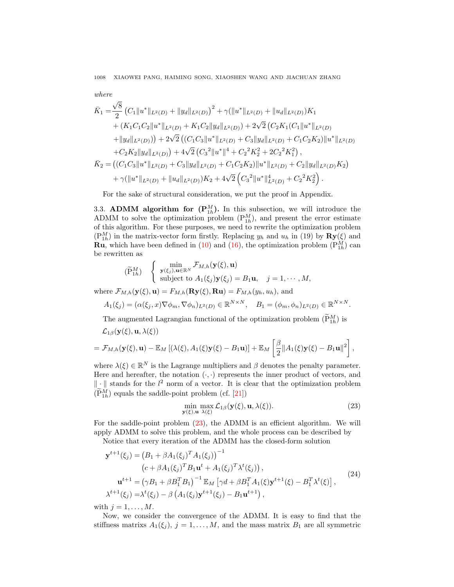where  
\n
$$
\bar{K}_1 = \frac{\sqrt{8}}{2} \left( C_1 \|u^*\|_{L^2(D)} + \|y_d\|_{L^2(D)} \right)^2 + \gamma (\|u^*\|_{L^2(D)} + \|u_d\|_{L^2(D)}) K_1
$$
\n
$$
+ \left( K_1 C_1 C_2 \|u^*\|_{L^2(D)} + K_1 C_2 \|y_d\|_{L^2(D)} \right) + 2\sqrt{2} \left( C_2 K_1 (C_1 \|u^*\|_{L^2(D)} + \|y_d\|_{L^2(D)}) \right) + 2\sqrt{2} \left( (C_1 C_3 \|u^*\|_{L^2(D)} + C_3 \|y_d\|_{L^2(D)} + C_1 C_2 K_2 \|u^*\|_{L^2(D)} \right)
$$
\n
$$
+ C_2 K_2 \|y_d\|_{L^2(D)} + 4\sqrt{2} \left( C_3^2 \|u^*\|^4 + C_2^2 K_2^2 + 2C_2^2 K_1^2 \right),
$$
\n
$$
\bar{K}_2 = \left( (C_1 C_3 \|u^*\|_{L^2(D)} + C_3 \|y_d\|_{L^2(D)} + C_1 C_2 K_2 \|u^*\|_{L^2(D)} + C_2 \|y_d\|_{L^2(D)} K_2 \right)
$$
\n
$$
+ \gamma (\|u^*\|_{L^2(D)} + \|u_d\|_{L^2(D)}) K_2 + 4\sqrt{2} \left( C_3^2 \|u^*\|_{L^2(D)}^4 + C_2^2 K_2^2 \right).
$$

For the sake of structural consideration, we put the proof in Appendix.

3.3. **ADMM** algorithm for  $(\mathbf{P}_{1h}^M)$ . In this subsection, we will introduce the ADMM to solve the optimization problem  $(P_{1h}^M)$ , and present the error estimate of this algorithm. For these purposes, we need to rewrite the optimization problem  $(P_{1h}^M)$  in the matrix-vector form firstly. Replacing  $y_h$  and  $u_h$  in (19) by  $\mathbf{R} \mathbf{y}(\xi)$  and **Ru**, which have been defined in [\(10\)](#page-4-3) and [\(16\)](#page-5-4), the optimization problem  $(P_{1h}^M)$  can be rewritten as

$$
(\widetilde{P}_{1h}^M) \quad \begin{cases} \min_{\mathbf{y}(\xi_j),\mathbf{u}\in\mathbb{R}^N} \mathcal{F}_{M,h}(\mathbf{y}(\xi),\mathbf{u}) \\ \text{subject to } A_1(\xi_j)\mathbf{y}(\xi_j) = B_1\mathbf{u}, \quad j=1,\cdots,M, \end{cases}
$$

where  $\mathcal{F}_{M,h}(\mathbf{y}(\xi), \mathbf{u}) = F_{M,h}(\mathbf{R}\mathbf{y}(\xi), \mathbf{R}\mathbf{u}) = F_{M,h}(y_h, u_h)$ , and

$$
A_1(\xi_j) = (\alpha(\xi_j, x)\nabla\phi_m, \nabla\phi_n)_{L^2(D)} \in \mathbb{R}^{N \times N}, \quad B_1 = (\phi_m, \phi_n)_{L^2(D)} \in \mathbb{R}^{N \times N}.
$$

The augmented Lagrangian functional of the optimization problem  $(\tilde{P}_{1h}^M)$  is

$$
\mathcal{L}_{1\beta}(\mathbf{y}(\xi), \mathbf{u}, \lambda(\xi))
$$
  
=  $\mathcal{F}_{M,h}(\mathbf{y}(\xi), \mathbf{u}) - \mathbb{E}_M [(\lambda(\xi), A_1(\xi)\mathbf{y}(\xi) - B_1\mathbf{u})] + \mathbb{E}_M \left[ \frac{\beta}{2} || A_1(\xi)\mathbf{y}(\xi) - B_1\mathbf{u} ||^2 \right],$ 

where  $\lambda(\xi) \in \mathbb{R}^N$  is the Lagrange multipliers and  $\beta$  denotes the penalty parameter. Here and hereafter, the notation  $(\cdot, \cdot)$  represents the inner product of vectors, and  $\|\cdot\|$  stands for the  $l^2$  norm of a vector. It is clear that the optimization problem  $(\widetilde{P}_{1h}^{M})$  equals the saddle-point problem (cf. [\[21\]](#page-21-1))

<span id="page-7-0"></span>
$$
\min_{\mathbf{y}(\xi), \mathbf{u}} \max_{\lambda(\xi)} \mathcal{L}_{1\beta}(\mathbf{y}(\xi), \mathbf{u}, \lambda(\xi)).
$$
\n(23)

For the saddle-point problem [\(23\)](#page-7-0), the ADMM is an efficient algorithm. We will apply ADMM to solve this problem, and the whole process can be described by

Notice that every iteration of the ADMM has the closed-form solution

<span id="page-7-1"></span>
$$
\mathbf{y}^{t+1}(\xi_j) = (B_1 + \beta A_1(\xi_j)^T A_1(\xi_j))^{-1}
$$
  
\n
$$
(c + \beta A_1(\xi_j)^T B_1 \mathbf{u}^t + A_1(\xi_j)^T \lambda^t(\xi_j)),
$$
  
\n
$$
\mathbf{u}^{t+1} = (\gamma B_1 + \beta B_1^T B_1)^{-1} \mathbb{E}_M [\gamma d + \beta B_1^T A_1(\xi) \mathbf{y}^{t+1}(\xi) - B_1^T \lambda^t(\xi)],
$$
  
\n
$$
\lambda^{t+1}(\xi_j) = \lambda^t(\xi_j) - \beta (A_1(\xi_j) \mathbf{y}^{t+1}(\xi_j) - B_1 \mathbf{u}^{t+1}),
$$
\n(24)

with  $j = 1, \ldots, M$ .

Now, we consider the convergence of the ADMM. It is easy to find that the stiffness matrixs  $A_1(\xi_j)$ ,  $j = 1, ..., M$ , and the mass matrix  $B_1$  are all symmetric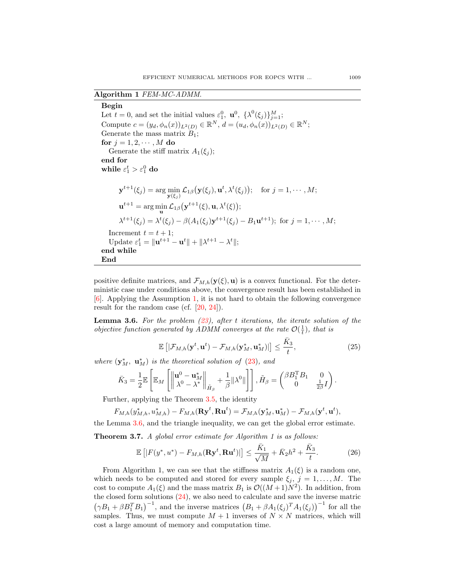## Algorithm 1 FEM-MC-ADMM.

<span id="page-8-1"></span>Begin Let  $t = 0$ , and set the initial values  $\varepsilon_1^0$ ,  $\mathbf{u}^0$ ,  $\{\lambda^0(\xi_j)\}_{j=1}^M$ ; Compute  $c = (y_d, \phi_n(x))_{L^2(D)} \in \mathbb{R}^N$ ,  $d = (u_d, \phi_n(x))_{L^2(D)} \in \mathbb{R}^N$ ; Generate the mass matrix  $B_1$ ; for  $j = 1, 2, \cdots, M$  do Generate the stiff matrix  $A_1(\xi_i)$ ; end for while  $\varepsilon_1^t > \varepsilon_1^0$  do  $\mathbf{y}^{t+1}(\xi_j) = \arg\min_{\mathbf{y}(\xi_j)} \mathcal{L}_{1\beta}(\mathbf{y}(\xi_j), \mathbf{u}^t, \lambda^t(\xi_j)); \quad \text{for } j = 1, \cdots, M;$  $\mathbf{u}^{t+1} = \arg\min_{\mathbf{u}} \mathcal{L}_{1\beta}(\mathbf{y}^{t+1}(\xi), \mathbf{u}, \lambda^t(\xi));$  $\lambda^{t+1}(\xi_j) = \lambda^t(\xi_j) - \beta(A_1(\xi_j)y^{t+1}(\xi_j) - B_1 \mathbf{u}^{t+1});$  for  $j = 1, \dots, M;$ Increment  $t = t + 1$ ; Update  $\varepsilon_1^t = ||\mathbf{u}^{t+1} - \mathbf{u}^t|| + ||\lambda^{t+1} - \lambda^t||;$ end while End

positive definite matrices, and  $\mathcal{F}_{M,h}(\mathbf{y}(\xi), \mathbf{u})$  is a convex functional. For the deterministic case under conditions above, the convergence result has been established in [\[6\]](#page-20-8). Applying the Assumption [1,](#page-3-1) it is not hard to obtain the following convergence result for the random case (cf. [\[20,](#page-21-11) [24\]](#page-21-12)).

<span id="page-8-0"></span>**Lemma 3.6.** For the problem  $(23)$ , after t iterations, the iterate solution of the objective function generated by ADMM converges at the rate  $\mathcal{O}(\frac{1}{t})$ , that is

$$
\mathbb{E}\left[|\mathcal{F}_{M,h}(\mathbf{y}^t,\mathbf{u}^t)-\mathcal{F}_{M,h}(\mathbf{y}_M^*,\mathbf{u}_M^*)|\right] \leq \frac{\bar{K}_3}{t},\tag{25}
$$

where  $(\mathbf{y}_M^*, \ \mathbf{u}_M^*)$  is the theoretical solution of [\(23\)](#page-7-0), and

$$
\bar{K}_3 = \frac{1}{2} \mathbb{E} \left[ \mathbb{E}_M \left[ \left\| \begin{matrix} \mathbf{u}^0 - \mathbf{u}^*_M \\ \lambda^0 - \lambda^* \end{matrix} \right\|_{\tilde{H}_{\beta}} + \frac{1}{\beta} \|\lambda^0\| \right] \right], \tilde{H}_{\beta} = \begin{pmatrix} \beta B_1^{\mathrm{T}} B_1 & 0 \\ 0 & \frac{1}{2\beta} I \end{pmatrix}.
$$

Further, applying the Theorem [3.5,](#page-6-4) the identity

$$
F_{M,h}(y_{M,h}^*, u_{M,h}^*) - F_{M,h}(\mathbf{R} \mathbf{y}^t, \mathbf{R} \mathbf{u}^t) = \mathcal{F}_{M,h}(\mathbf{y}_M^*, \mathbf{u}_M^*) - \mathcal{F}_{M,h}(\mathbf{y}^t, \mathbf{u}^t),
$$

the Lemma [3.6,](#page-8-0) and the triangle inequality, we can get the global error estimate.

Theorem 3.7. A global error estimate for Algorithm 1 is as follows:

$$
\mathbb{E}\left[|F(y^*,u^*) - F_{M,h}(\mathbf{R}y^t,\mathbf{R}u^t)|\right] \le \frac{\bar{K}_1}{\sqrt{M}} + \bar{K}_2h^2 + \frac{\bar{K}_3}{t}.\tag{26}
$$

From Algorithm 1, we can see that the stiffness matrix  $A_1(\xi)$  is a random one, which needs to be computed and stored for every sample  $\xi_j$ ,  $j = 1, ..., M$ . The cost to compute  $A_1(\xi)$  and the mass matrix  $B_1$  is  $\mathcal{O}((M+1)N^2)$ . In addition, from the closed form solutions [\(24\)](#page-7-1), we also need to calculate and save the inverse matric  $(\gamma B_1 + \beta B_1^T B_1)^{-1}$ , and the inverse matrices  $(B_1 + \beta A_1(\xi_j)^T A_1(\xi_j))^{-1}$  for all the samples. Thus, we must compute  $M + 1$  inverses of  $N \times N$  matrices, which will cost a large amount of memory and computation time.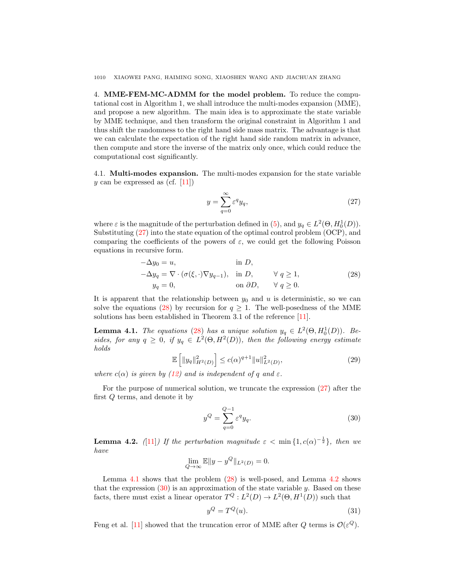<span id="page-9-0"></span>4. MME-FEM-MC-ADMM for the model problem. To reduce the computational cost in Algorithm 1, we shall introduce the multi-modes expansion (MME), and propose a new algorithm. The main idea is to approximate the state variable by MME technique, and then transform the original constraint in Algorithm 1 and thus shift the randomness to the right hand side mass matrix. The advantage is that we can calculate the expectation of the right hand side random matrix in advance, then compute and store the inverse of the matrix only once, which could reduce the computational cost significantly.

4.1. Multi-modes expansion. The multi-modes expansion for the state variable y can be expressed as (cf.  $[11]$ )

<span id="page-9-1"></span>
$$
y = \sum_{q=0}^{\infty} \varepsilon^q y_q,
$$
\n(27)

where  $\varepsilon$  is the magnitude of the perturbation defined in [\(5\)](#page-3-2), and  $y_q \in L^2(\Theta, H_0^1(D))$ . Substituting [\(27\)](#page-9-1) into the state equation of the optimal control problem (OCP), and comparing the coefficients of the powers of  $\varepsilon$ , we could get the following Poisson equations in recursive form.

<span id="page-9-2"></span>
$$
-\Delta y_0 = u, \qquad \text{in } D,
$$
  
\n
$$
-\Delta y_q = \nabla \cdot (\sigma(\xi, \cdot) \nabla y_{q-1}), \quad \text{in } D, \qquad \forall q \ge 1,
$$
  
\n
$$
y_q = 0, \qquad \text{on } \partial D, \qquad \forall q \ge 0.
$$
\n(28)

It is apparent that the relationship between  $y_0$  and u is deterministic, so we can solve the equations [\(28\)](#page-9-2) by recursion for  $q \geq 1$ . The well-posedness of the MME solutions has been established in Theorem 3.1 of the reference [\[11\]](#page-20-7).

<span id="page-9-3"></span>**Lemma 4.1.** The equations [\(28\)](#page-9-2) has a unique solution  $y_q \in L^2(\Theta, H_0^1(D))$ . Besides, for any  $q \geq 0$ , if  $y_q \in L^2(\Theta, H^2(D))$ , then the following energy estimate holds

$$
\mathbb{E}\left[\|y_q\|_{H^2(D)}^2\right] \le c(\alpha)^{q+1} \|u\|_{L^2(D)}^2,
$$
\n(29)

where  $c(\alpha)$  is given by [\(12\)](#page-5-1) and is independent of q and  $\varepsilon$ .

For the purpose of numerical solution, we truncate the expression [\(27\)](#page-9-1) after the first Q terms, and denote it by

<span id="page-9-5"></span>
$$
y^Q = \sum_{q=0}^{Q-1} \varepsilon^q y_q.
$$
 (30)

<span id="page-9-4"></span>**Lemma 4.2.** ([\[11\]](#page-20-7)) If the perturbation magnitude  $\varepsilon < \min\{1, c(\alpha)^{-\frac{1}{2}}\}$ , then we have

$$
\lim_{Q \to \infty} \mathbb{E} \|y - y^Q\|_{L^2(D)} = 0.
$$

Lemma [4.1](#page-9-3) shows that the problem [\(28\)](#page-9-2) is well-posed, and Lemma [4.2](#page-9-4) shows that the expression  $(30)$  is an approximation of the state variable y. Based on these facts, there must exist a linear operator  $T^{Q}: L^{2}(D) \to L^{2}(\Theta, H^{1}(D))$  such that

<span id="page-9-6"></span>
$$
y^Q = T^Q(u). \tag{31}
$$

Feng et al. [\[11\]](#page-20-7) showed that the truncation error of MME after Q terms is  $\mathcal{O}(\varepsilon^Q)$ .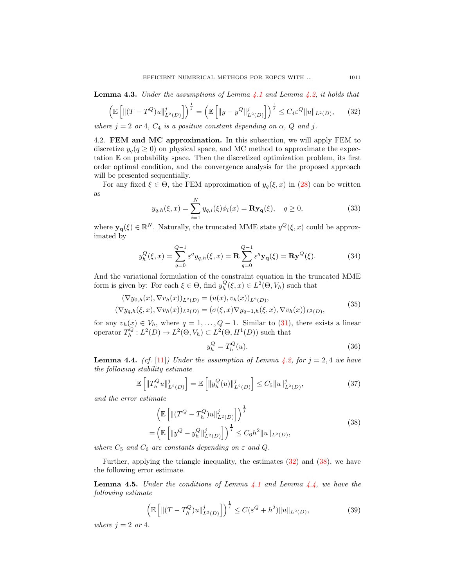**Lemma 4.3.** Under the assumptions of Lemma [4.1](#page-9-3) and Lemma [4.2,](#page-9-4) it holds that

<span id="page-10-0"></span>
$$
\left(\mathbb{E}\left[\|(T-T^Q)u\|_{L^2(D)}^j\right]\right)^{\frac{1}{j}} = \left(\mathbb{E}\left[\|y-y^Q\|_{L^2(D)}^j\right]\right)^{\frac{1}{j}} \le C_4\varepsilon^Q \|u\|_{L^2(D)},\tag{32}
$$

where  $j = 2$  or 4,  $C_4$  is a positive constant depending on  $\alpha$ , Q and j.

4.2. FEM and MC approximation. In this subsection, we will apply FEM to discretize  $y_q(q \geq 0)$  on physical space, and MC method to approximate the expectation  $E$  on probability space. Then the discretized optimization problem, its first order optimal condition, and the convergence analysis for the proposed approach will be presented sequentially.

For any fixed  $\xi \in \Theta$ , the FEM approximation of  $y_q(\xi, x)$  in [\(28\)](#page-9-2) can be written as

<span id="page-10-7"></span>
$$
y_{q,h}(\xi, x) = \sum_{i=1}^{N} y_{q,i}(\xi)\phi_i(x) = \mathbf{R} \mathbf{y}_q(\xi), \quad q \ge 0,
$$
 (33)

where  $y_{q}(\xi) \in \mathbb{R}^{N}$ . Naturally, the truncated MME state  $y^{Q}(\xi, x)$  could be approximated by

<span id="page-10-3"></span>
$$
y_h^Q(\xi, x) = \sum_{q=0}^{Q-1} \varepsilon^q y_{q,h}(\xi, x) = \mathbf{R} \sum_{q=0}^{Q-1} \varepsilon^q \mathbf{y}_q(\xi) = \mathbf{R} \mathbf{y}^Q(\xi).
$$
 (34)

And the variational formulation of the constraint equation in the truncated MME form is given by: For each  $\xi \in \Theta$ , find  $y_h^Q(\xi, x) \in L^2(\Theta, V_h)$  such that

<span id="page-10-6"></span>
$$
(\nabla y_{0,h}(x), \nabla v_h(x))_{L^2(D)} = (u(x), v_h(x))_{L^2(D)},
$$
  
\n
$$
(\nabla y_{q,h}(\xi, x), \nabla v_h(x))_{L^2(D)} = (\sigma(\xi, x) \nabla y_{q-1,h}(\xi, x), \nabla v_h(x))_{L^2(D)},
$$
\n(35)

for any  $v_h(x) \in V_h$ , where  $q = 1, \ldots, Q - 1$ . Similar to [\(31\)](#page-9-6), there exists a linear operator  $T_h^Q: L^2(D) \to L^2(\Theta, V_h) \subset L^2(\Theta, H^1(D))$  such that

<span id="page-10-4"></span>
$$
y_h^Q = T_h^Q(u). \tag{36}
$$

<span id="page-10-2"></span>**Lemma 4.4.** (cf. [\[11\]](#page-20-7)) Under the assumption of Lemma [4.2,](#page-9-4) for  $i = 2, 4$  we have the following stability estimate

$$
\mathbb{E}\left[\|T_h^Q u\|_{L^2(D)}^j\right] = \mathbb{E}\left[\|y_h^Q(u)\|_{L^2(D)}^j\right] \le C_5 \|u\|_{L^2(D)}^j,\tag{37}
$$

and the error estimate

<span id="page-10-1"></span>
$$
\left(\mathbb{E}\left[\|(T^{Q} - T_{h}^{Q})u\|_{L^{2}(D)}^{j}\right]\right)^{\frac{1}{j}}\n= \left(\mathbb{E}\left[\|y^{Q} - y_{h}^{Q}\|_{L^{2}(D)}^{j}\right]\right)^{\frac{1}{j}} \leq C_{6}h^{2}\|u\|_{L^{2}(D)},
$$
\n(38)

where  $C_5$  and  $C_6$  are constants depending on  $\varepsilon$  and  $Q$ .

Further, applying the triangle inequality, the estimates [\(32\)](#page-10-0) and [\(38\)](#page-10-1), we have the following error estimate.

<span id="page-10-5"></span>**Lemma 4.5.** Under the conditions of Lemma  $4.1$  and Lemma  $4.4$ , we have the following estimate

$$
\left(\mathbb{E}\left[\|(T-T_h^Q)u\|_{L^2(D)}^j\right]\right)^{\frac{1}{j}} \le C(\varepsilon^Q + h^2)\|u\|_{L^2(D)},\tag{39}
$$

where  $j = 2$  or 4.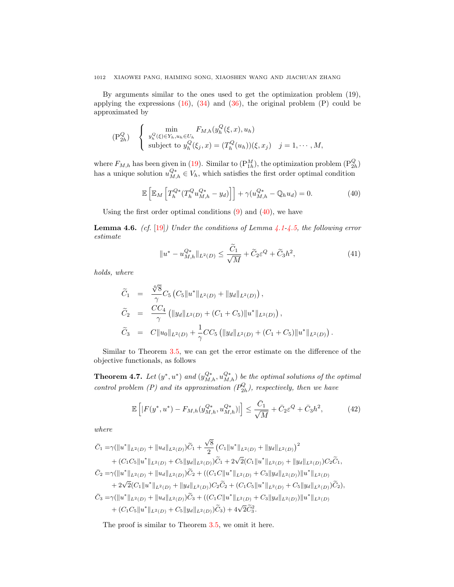By arguments similar to the ones used to get the optimization problem (19), applying the expressions  $(16)$ ,  $(34)$  and  $(36)$ , the original problem  $(P)$  could be approximated by

$$
\begin{aligned} \text{(P2hQ)} \quad & \begin{cases} \min_{y_h^Q(\xi) \in Y_h, u_h \in U_h} F_{M,h}(y_h^Q(\xi, x), u_h) \\ \text{subject to } y_h^Q(\xi_j, x) = (T_h^Q(u_h))(\xi, x_j) & j = 1, \cdots, M, \end{cases} \end{aligned}
$$

where  $F_{M,h}$  has been given in [\(19\)](#page-6-5). Similar to  $(\mathbb{P}_{1h}^M)$ , the optimization problem  $(\mathbb{P}_{2h}^Q)$ has a unique solution  $u_{M,h}^{Q*} \in V_h$ , which satisfies the first order optimal condition

<span id="page-11-0"></span>
$$
\mathbb{E}\left[\mathbb{E}_M\left[T_h^{Q*}(T_h^Q u_{M,h}^{Q*} - y_d)\right]\right] + \gamma(u_{M,h}^{Q*} - \mathbb{Q}_h u_d) = 0. \tag{40}
$$

Using the first order optimal conditions  $(9)$  and  $(40)$ , we have

**Lemma 4.6.** (cf.  $[19]$ ) Under the conditions of Lemma [4.1-](#page-9-3)[4.5,](#page-10-5) the following error estimate

$$
||u^* - u_{M,h}^{Q*}||_{L^2(D)} \le \frac{\widetilde{C}_1}{\sqrt{M}} + \widetilde{C}_2 \varepsilon^Q + \widetilde{C}_3 h^2,
$$
\n(41)

holds, where

$$
\widetilde{C}_1 = \frac{\sqrt[4]{8}}{\gamma} C_5 \left( C_5 \| u^* \|_{L^2(D)} + \| y_d \|_{L^2(D)} \right),
$$
\n
$$
\widetilde{C}_2 = \frac{CC_4}{\gamma} \left( \| y_d \|_{L^2(D)} + (C_1 + C_5) \| u^* \|_{L^2(D)} \right),
$$
\n
$$
\widetilde{C}_3 = C \| u_0 \|_{L^2(D)} + \frac{1}{\gamma} CC_5 \left( \| y_d \|_{L^2(D)} + (C_1 + C_5) \| u^* \|_{L^2(D)} \right).
$$

Similar to Theorem [3.5,](#page-6-4) we can get the error estimate on the difference of the objective functionals, as follows

<span id="page-11-1"></span>**Theorem 4.7.** Let  $(y^*, u^*)$  and  $(y_{M,h}^{Q^*}, u_{M,h}^{Q^*})$  be the optimal solutions of the optimal control problem (P) and its approximation  $(P_{2h}^Q)$ , respectively, then we have

$$
\mathbb{E}\left[|F(y^*,u^*) - F_{M,h}(y_{M,h}^{Q*}, u_{M,h}^{Q*})|\right] \le \frac{\bar{C}_1}{\sqrt{M}} + \bar{C}_2 \varepsilon^Q + \bar{C}_3 h^2,\tag{42}
$$

where

$$
\bar{C}_{1} = \gamma(\|u^{*}\|_{L^{2}(D)} + \|u_{d}\|_{L^{2}(D)})\tilde{C}_{1} + \frac{\sqrt{8}}{2}\left(C_{1}\|u^{*}\|_{L^{2}(D)} + \|y_{d}\|_{L^{2}(D)}\right)^{2} \n+ (C_{1}C_{5}\|u^{*}\|_{L^{2}(D)} + C_{5}\|y_{d}\|_{L^{2}(D)})\tilde{C}_{1} + 2\sqrt{2}(C_{1}\|u^{*}\|_{L^{2}(D)} + \|y_{d}\|_{L^{2}(D)})C_{2}\tilde{C}_{1},
$$
\n
$$
\bar{C}_{2} = \gamma(\|u^{*}\|_{L^{2}(D)} + \|u_{d}\|_{L^{2}(D)})\tilde{C}_{2} + ((C_{1}C\|u^{*}\|_{L^{2}(D)} + C_{3}\|y_{d}\|_{L^{2}(D)}))\|u^{*}\|_{L^{2}(D)} \n+ 2\sqrt{2}(C_{1}\|u^{*}\|_{L^{2}(D)} + \|y_{d}\|_{L^{2}(D)})C_{2}\tilde{C}_{2} + (C_{1}C_{5}\|u^{*}\|_{L^{2}(D)} + C_{5}\|y_{d}\|_{L^{2}(D)})\tilde{C}_{2}),
$$
\n
$$
\bar{C}_{3} = \gamma(\|u^{*}\|_{L^{2}(D)} + \|u_{d}\|_{L^{2}(D)})\tilde{C}_{3} + ((C_{1}C\|u^{*}\|_{L^{2}(D)} + C_{3}\|y_{d}\|_{L^{2}(D)})\|u^{*}\|_{L^{2}(D)} + (C_{1}C_{5}\|u^{*}\|_{L^{2}(D)} + C_{5}\|y_{d}\|_{L^{2}(D)})\tilde{C}_{3}) + 4\sqrt{2}\tilde{C}_{3}^{2}.
$$

The proof is similar to Theorem [3.5,](#page-6-4) we omit it here.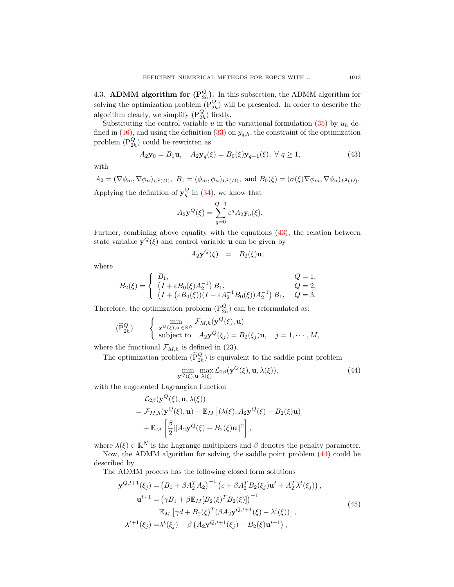4.3. **ADMM algorithm for**  $(\mathbf{P}_{2h}^Q)$ **.** In this subsection, the ADMM algorithm for solving the optimization problem  $(P_{2h}^Q)$  will be presented. In order to describe the algorithm clearly, we simplify  $(\mathbf{P}_{2h}^Q)$  firstly.

Substituting the control variable u in the variational formulation [\(35\)](#page-10-6) by  $u_h$  de-fined in [\(16\)](#page-5-4), and using the definition [\(33\)](#page-10-7) on  $y_{q,h}$ , the constraint of the optimization problem  $(\mathbb{P}_{2h}^Q)$  could be rewritten as

<span id="page-12-0"></span>
$$
A_2 \mathbf{y}_0 = B_1 \mathbf{u}, \quad A_2 \mathbf{y}_q(\xi) = B_0(\xi) \mathbf{y}_{q-1}(\xi), \ \forall \ q \ge 1,
$$
\n(43)

with

 $A_2 = (\nabla \phi_m, \nabla \phi_n)_{L^2(D)}, \ B_1 = (\phi_m, \phi_n)_{L^2(D)}, \text{ and } B_0(\xi) = (\sigma(\xi) \nabla \phi_m, \nabla \phi_n)_{L^2(D)}.$ Applying the definition of  $y_h^Q$  in [\(34\)](#page-10-3), we know that

$$
A_2 \mathbf{y}^Q(\xi) = \sum_{q=0}^{Q-1} \varepsilon^q A_2 \mathbf{y}_q(\xi).
$$

Further, combining above equality with the equations [\(43\)](#page-12-0), the relation between state variable  $y^{Q}(\xi)$  and control variable **u** can be given by

$$
A_2 \mathbf{y}^Q(\xi) = B_2(\xi) \mathbf{u},
$$

where

$$
B_2(\xi) = \begin{cases} B_1, & Q = 1, \\ (I + \varepsilon B_0(\xi) A_2^{-1}) B_1, & Q = 2, \\ (I + (\varepsilon B_0(\xi))(I + \varepsilon A_2^{-1} B_0(\xi)) A_2^{-1}) B_1, & Q = 3. \end{cases}
$$

Therefore, the optimization problem  $(P_{2h}^Q)$  can be reformulated as:

$$
(\widetilde{P}_{2h}^Q) \qquad \begin{cases} \min_{\mathbf{y}^Q(\xi),\mathbf{u}\in\mathbb{R}^N} \mathcal{F}_{M,h}(\mathbf{y}^Q(\xi),\mathbf{u})\\ \text{subject to} \quad A_2\mathbf{y}^Q(\xi_j) = B_2(\xi_j)\mathbf{u}, \quad j=1,\cdots,M, \end{cases}
$$

where the functional  $\mathcal{F}_{M,h}$  is defined in (23).

The optimization problem  $(\tilde{P}_{2h}^Q)$  is equivalent to the saddle point problem

<span id="page-12-1"></span>
$$
\min_{\mathbf{y}^{Q}(\xi),\mathbf{u}} \max_{\lambda(\xi)} \mathcal{L}_{2\beta}(\mathbf{y}^{Q}(\xi),\mathbf{u},\lambda(\xi)),
$$
\n(44)

with the augmented Lagrangian function

$$
\mathcal{L}_{2\beta}(\mathbf{y}^{Q}(\xi), \mathbf{u}, \lambda(\xi))
$$
\n
$$
= \mathcal{F}_{M,h}(\mathbf{y}^{Q}(\xi), \mathbf{u}) - \mathbb{E}_M\left[ (\lambda(\xi), A_2 \mathbf{y}^{Q}(\xi) - B_2(\xi)\mathbf{u}) \right]
$$
\n
$$
+ \mathbb{E}_M \left[ \frac{\beta}{2} \| A_2 \mathbf{y}^{Q}(\xi) - B_2(\xi)\mathbf{u} \|^2 \right],
$$

where  $\lambda(\xi) \in \mathbb{R}^N$  is the Lagrange multipliers and  $\beta$  denotes the penalty parameter.

Now, the ADMM algorithm for solving the saddle point problem [\(44\)](#page-12-1) could be described by

The ADMM process has the following closed form solutions

<span id="page-12-2"></span>
$$
\mathbf{y}^{Q,t+1}(\xi_j) = (B_1 + \beta A_2^T A_2)^{-1} (c + \beta A_2^T B_2(\xi_j) \mathbf{u}^t + A_2^T \lambda^t(\xi_j)),
$$
  
\n
$$
\mathbf{u}^{t+1} = (\gamma B_1 + \beta \mathbb{E}_M [B_2(\xi)^T B_2(\xi)])^{-1}
$$
  
\n
$$
\mathbb{E}_M [\gamma d + B_2(\xi)^T (\beta A_2 \mathbf{y}^{Q,t+1}(\xi) - \lambda^t(\xi))],
$$
  
\n
$$
\lambda^{t+1}(\xi_j) = \lambda^t(\xi_j) - \beta (A_2 \mathbf{y}^{Q,t+1}(\xi_j) - B_2(\xi) \mathbf{u}^{t+1}),
$$
\n(45)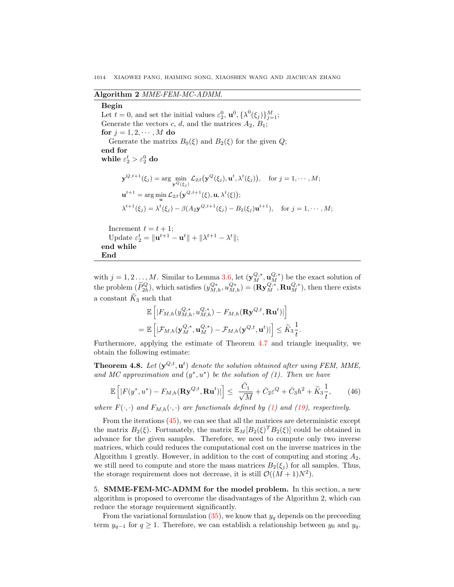### Algorithm 2 MME-FEM-MC-ADMM.

## <span id="page-13-2"></span>Begin

End

Let  $t = 0$ , and set the initial values  $\varepsilon_2^0$ ,  $\mathbf{u}^0$ ,  $\{\lambda^0(\xi_j)\}_{j=1}^M$ ; Generate the vectors c, d, and the matrices  $A_2$ ,  $B_1$ ; for  $j = 1, 2, \dots, M$  do Generate the matrixs  $B_0(\xi)$  and  $B_2(\xi)$  for the given  $Q$ ; end for while  $\varepsilon_2^t > \varepsilon_2^0$  do  $\mathbf{y}^{Q,t+1}(\xi_j) = \arg\min_{\mathbf{y}^Q(\xi_j)} \mathcal{L}_{2\beta}(\mathbf{y}^Q(\xi_j), \mathbf{u}^t, \lambda^t(\xi_j)), \quad \text{for } j = 1, \cdots, M;$  $\mathbf{u}^{t+1} = \arg\min_{\mathbf{u}} \mathcal{L}_{2\beta}(\mathbf{y}^{Q,t+1}(\xi), \mathbf{u}, \lambda^t(\xi));$  $\lambda^{t+1}(\xi_j) = \lambda^t(\xi_j) - \beta(A_2 \mathbf{y}^{Q,t+1}(\xi_j) - B_2(\xi_j) \mathbf{u}^{t+1}), \text{ for } j = 1, \cdots, M;$ Increment  $t = t + 1$ ; Update  $\varepsilon_2^t = ||\mathbf{u}^{t+1} - \mathbf{u}^t|| + ||\lambda^{t+1} - \lambda^t||;$ end while

with  $j = 1, 2, \ldots, M$ . Similar to Lemma [3.6,](#page-8-0) let  $(\mathbf{y}_{M}^{Q,*}, \mathbf{u}_{M}^{Q,*})$  be the exact solution of the problem  $(\widetilde{P}_{2h}^Q)$ , which satisfies  $(y_{M,h}^{Q*}, u_{M,h}^{Q*}) = (\mathbf{R} \mathbf{y}_{M}^{Q,*}, \mathbf{R} \mathbf{u}_{M}^{Q,*})$ , then there exists a constant  $\widetilde{K}_3$  such that

$$
\mathbb{E}\left[|F_{M,h}(y_{M,h}^{Q,*}, u_{M,h}^{Q,*}) - F_{M,h}(\mathbf{R} \mathbf{y}^{Q,t}, \mathbf{R} \mathbf{u}^t)|\right]
$$
  
= 
$$
\mathbb{E}\left[|\mathcal{F}_{M,h}(\mathbf{y}_{M}^{Q,*}, \mathbf{u}_{M}^{Q,*}) - \mathcal{F}_{M,h}(\mathbf{y}^{Q,t}, \mathbf{u}^t)|\right] \leq \widetilde{K}_3 \frac{1}{t}.
$$

Furthermore, applying the estimate of Theorem [4.7](#page-11-1) and triangle inequality, we obtain the following estimate:

<span id="page-13-1"></span>**Theorem 4.8.** Let  $(\mathbf{y}^{Q,t}, \mathbf{u}^t)$  denote the solution obtained after using FEM, MME, and MC approximation and  $(y^*, u^*)$  be the solution of (1). Then we have

$$
\mathbb{E}\left[|F(y^*,u^*) - F_{M,h}(\mathbf{R}y^{Q,t}, \mathbf{R}u^t)|\right] \leq \frac{\bar{C}_1}{\sqrt{M}} + \bar{C}_2\varepsilon^Q + \bar{C}_3h^2 + \tilde{K}_3\frac{1}{t},\qquad(46)
$$

where  $F(\cdot, \cdot)$  and  $F_{M,h}(\cdot, \cdot)$  are functionals defined by [\(1\)](#page-3-7) and [\(19\)](#page-6-5), respectively.

From the iterations [\(45\)](#page-12-2), we can see that all the matrices are deterministic except the matrix  $B_2(\xi)$ . Fortunately, the matrix  $\mathbb{E}_M[B_2(\xi)^T B_2(\xi)]$  could be obtained in advance for the given samples. Therefore, we need to compute only two inverse matrices, which could reduces the computational cost on the inverse matrices in the Algorithm 1 greatly. However, in addition to the cost of computing and storing  $A_2$ , we still need to compute and store the mass matrices  $B_2(\xi_i)$  for all samples. Thus, the storage requirement does not decrease, it is still  $\mathcal{O}((M+1)N^2)$ .

<span id="page-13-0"></span>5. SMME-FEM-MC-ADMM for the model problem. In this section, a new algorithm is proposed to overcome the disadvantages of the Algorithm 2, which can reduce the storage requirement significantly.

From the variational formulation  $(35)$ , we know that  $y_q$  depends on the preceeding term  $y_{q-1}$  for  $q \ge 1$ . Therefore, we can establish a relationship between  $y_0$  and  $y_q$ .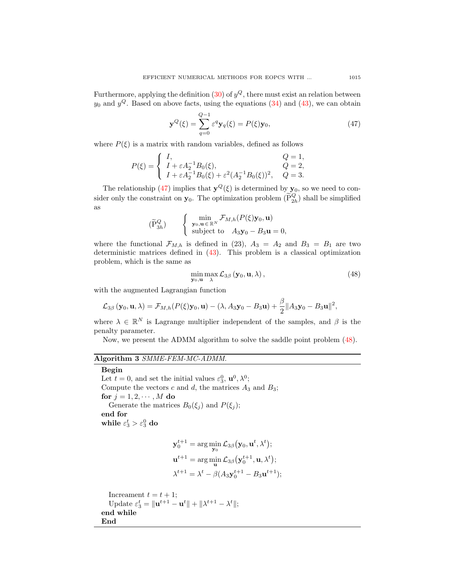Furthermore, applying the definition [\(30\)](#page-9-5) of  $y^Q$ , there must exist an relation between  $y_0$  and  $y^Q$ . Based on above facts, using the equations  $(34)$  and  $(43)$ , we can obtain

<span id="page-14-0"></span>
$$
\mathbf{y}^{Q}(\xi) = \sum_{q=0}^{Q-1} \varepsilon^{q} \mathbf{y}_{q}(\xi) = P(\xi) \mathbf{y}_{0},
$$
\n(47)

where  $P(\xi)$  is a matrix with random variables, defined as follows

$$
P(\xi) = \begin{cases} I, & Q = 1, \\ I + \varepsilon A_2^{-1} B_0(\xi), & Q = 2, \\ I + \varepsilon A_2^{-1} B_0(\xi) + \varepsilon^2 (A_2^{-1} B_0(\xi))^2, & Q = 3. \end{cases}
$$

The relationship [\(47\)](#page-14-0) implies that  $y^Q(\xi)$  is determined by  $y_0$ , so we need to consider only the constraint on  $y_0$ . The optimization problem  $(\widetilde{P}_{2h}^Q)$  shall be simplified as

$$
(\widetilde{P}_{3h}^{Q}) \qquad \begin{cases} \min_{\mathbf{y}_0, \mathbf{u} \in \mathbb{R}^N} \mathcal{F}_{M,h}(P(\xi) \mathbf{y}_0, \mathbf{u}) \\ \text{subject to} \quad A_3 \mathbf{y}_0 - B_3 \mathbf{u} = 0, \end{cases}
$$

where the functional  $\mathcal{F}_{M,h}$  is defined in (23),  $A_3 = A_2$  and  $B_3 = B_1$  are two deterministic matrices defined in [\(43\)](#page-12-0). This problem is a classical optimization problem, which is the same as

<span id="page-14-1"></span>
$$
\min_{\mathbf{y}_0,\mathbf{u}} \max_{\lambda} \mathcal{L}_{3\beta} (\mathbf{y}_0, \mathbf{u}, \lambda), \tag{48}
$$

with the augmented Lagrangian function

$$
\mathcal{L}_{3\beta}\left(\mathbf{y}_0,\mathbf{u},\lambda\right) = \mathcal{F}_{M,h}(P(\xi)\mathbf{y}_0,\mathbf{u}) - (\lambda, A_3\mathbf{y}_0 - B_3\mathbf{u}) + \frac{\beta}{2} \|A_3\mathbf{y}_0 - B_3\mathbf{u}\|^2,
$$

where  $\lambda \in \mathbb{R}^N$  is Lagrange multiplier independent of the samples, and  $\beta$  is the penalty parameter.

Now, we present the ADMM algorithm to solve the saddle point problem [\(48\)](#page-14-1).

# Algorithm 3 SMME-FEM-MC-ADMM.

## <span id="page-14-2"></span>Begin

Let  $t = 0$ , and set the initial values  $\varepsilon_3^0$ ,  $\mathbf{u}^0$ ,  $\lambda^0$ ; Compute the vectors  $c$  and  $d$ , the matrices  $A_3$  and  $B_3$ ; for  $j = 1, 2, \dots, M$  do Generate the matrices  $B_0(\xi_j)$  and  $P(\xi_j)$ ; end for while  $\varepsilon_3^t > \varepsilon_3^0$  do

$$
\mathbf{y}_0^{t+1} = \arg\min_{\mathbf{y}_0} \mathcal{L}_{3\beta}(\mathbf{y}_0, \mathbf{u}^t, \lambda^t);
$$
  

$$
\mathbf{u}^{t+1} = \arg\min_{\mathbf{u}} \mathcal{L}_{3\beta}(\mathbf{y}_0^{t+1}, \mathbf{u}, \lambda^t);
$$
  

$$
\lambda^{t+1} = \lambda^t - \beta(A_3 \mathbf{y}_0^{t+1} - B_3 \mathbf{u}^{t+1});
$$

Increament  $t = t + 1$ ; Update  $\varepsilon_3^t = ||\mathbf{u}^{t+1} - \mathbf{u}^t|| + ||\lambda^{t+1} - \lambda^t||;$ end while End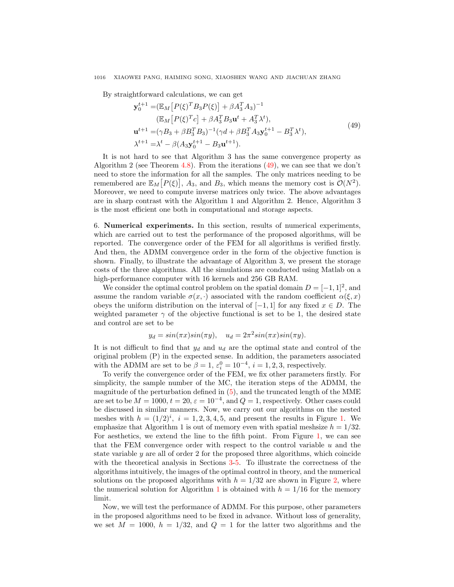By straightforward calculations, we can get

<span id="page-15-1"></span>
$$
\mathbf{y}_{0}^{t+1} = (\mathbb{E}_{M} [P(\xi)^{T} B_{3} P(\xi)] + \beta A_{3}^{T} A_{3})^{-1}
$$
  
\n
$$
(\mathbb{E}_{M} [P(\xi)^{T} c] + \beta A_{3}^{T} B_{3} \mathbf{u}^{t} + A_{3}^{T} \lambda^{t}),
$$
  
\n
$$
\mathbf{u}^{t+1} = (\gamma B_{3} + \beta B_{3}^{T} B_{3})^{-1} (\gamma d + \beta B_{3}^{T} A_{3} \mathbf{y}_{0}^{t+1} - B_{3}^{T} \lambda^{t}),
$$
  
\n
$$
\lambda^{t+1} = \lambda^{t} - \beta (A_{3} \mathbf{y}_{0}^{t+1} - B_{3} \mathbf{u}^{t+1}).
$$
\n(49)

It is not hard to see that Algorithm 3 has the same convergence property as Algorithm 2 (see Theorem [4.8\)](#page-13-1). From the iterations  $(49)$ , we can see that we don't need to store the information for all the samples. The only matrices needing to be remembered are  $\mathbb{E}_M[P(\xi)], A_3$ , and  $B_3$ , which means the memory cost is  $O(N^2)$ . Moreover, we need to compute inverse matrices only twice. The above advantages are in sharp contrast with the Algorithm 1 and Algorithm 2. Hence, Algorithm 3 is the most efficient one both in computational and storage aspects.

<span id="page-15-0"></span>6. Numerical experiments. In this section, results of numerical experiments, which are carried out to test the performance of the proposed algorithms, will be reported. The convergence order of the FEM for all algorithms is verified firstly. And then, the ADMM convergence order in the form of the objective function is shown. Finally, to illustrate the advantage of Algorithm 3, we present the storage costs of the three algorithms. All the simulations are conducted using Matlab on a high-performance computer with 16 kernels and 256 GB RAM.

We consider the optimal control problem on the spatial domain  $D = [-1, 1]^2$ , and assume the random variable  $\sigma(x, \cdot)$  associated with the random coefficient  $\alpha(\xi, x)$ obeys the uniform distribution on the interval of  $[-1, 1]$  for any fixed  $x \in D$ . The weighted parameter  $\gamma$  of the objective functional is set to be 1, the desired state and control are set to be

$$
y_d = \sin(\pi x)\sin(\pi y), \quad u_d = 2\pi^2 \sin(\pi x)\sin(\pi y).
$$

It is not difficult to find that  $y_d$  and  $u_d$  are the optimal state and control of the original problem (P) in the expected sense. In addition, the parameters associated with the ADMM are set to be  $\beta = 1, \varepsilon_i^0 = 10^{-4}, i = 1, 2, 3$ , respectively.

To verify the convergence order of the FEM, we fix other parameters firstly. For simplicity, the sample number of the MC, the iteration steps of the ADMM, the magnitude of the perturbation defined in [\(5\)](#page-3-2), and the truncated length of the MME are set to be  $M = 1000$ ,  $t = 20$ ,  $\varepsilon = 10^{-4}$ , and  $Q = 1$ , respectively. Other cases could be discussed in similar manners. Now, we carry out our algorithms on the nested meshes with  $h = (1/2)^i$ ,  $i = 1, 2, 3, 4, 5$ , and present the results in Figure [1.](#page-16-0) We emphasize that Algorithm 1 is out of memory even with spatial meshsize  $h = 1/32$ . For aesthetics, we extend the line to the fifth point. From Figure [1,](#page-16-0) we can see that the FEM convergence order with respect to the control variable  $u$  and the state variable  $y$  are all of order 2 for the proposed three algorithms, which coincide with the theoretical analysis in Sections [3-](#page-4-0)[5.](#page-13-0) To illustrate the correctness of the algorithms intuitively, the images of the optimal control in theory, and the numerical solutions on the proposed algorithms with  $h = 1/32$  are shown in Figure [2,](#page-16-1) where the numerical solution for Algorithm [1](#page-8-1) is obtained with  $h = 1/16$  for the memory limit.

Now, we will test the performance of ADMM. For this purpose, other parameters in the proposed algorithms need to be fixed in advance. Without loss of generality, we set  $M = 1000$ ,  $h = 1/32$ , and  $Q = 1$  for the latter two algorithms and the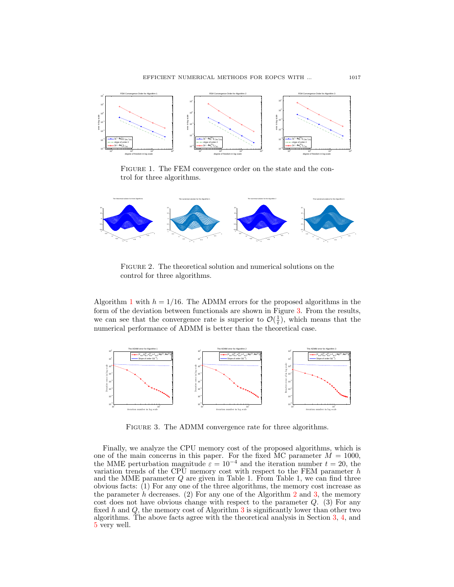

<span id="page-16-0"></span>FIGURE 1. The FEM convergence order on the state and the control for three algorithms.



<span id="page-16-1"></span>FIGURE 2. The theoretical solution and numerical solutions on the control for three algorithms.

Algorithm [1](#page-8-1) with  $h = 1/16$ . The ADMM errors for the proposed algorithms in the form of the deviation between functionals are shown in Figure [3.](#page-16-2) From the results, we can see that the convergence rate is superior to  $\mathcal{O}(\frac{1}{t})$ , which means that the numerical performance of ADMM is better than the theoretical case.



<span id="page-16-2"></span>FIGURE 3. The ADMM convergence rate for three algorithms.

Finally, we analyze the CPU memory cost of the proposed algorithms, which is one of the main concerns in this paper. For the fixed MC parameter  $M = 1000$ , the MME perturbation magnitude  $\varepsilon = 10^{-4}$  and the iteration number  $t = 20$ , the variation trends of the CPU memory cost with respect to the FEM parameter  $h$ and the MME parameter  $Q$  are given in Table 1. From Table 1, we can find three obvious facts: (1) For any one of the three algorithms, the memory cost increase as the parameter h decreases. ([2](#page-13-2)) For any one of the Algorithm 2 and [3,](#page-14-2) the memory cost does not have obvious change with respect to the parameter  $Q$ . (3) For any fixed  $h$  and  $Q$ , the memory cost of Algorithm [3](#page-14-2) is significantly lower than other two algorithms. The above facts agree with the theoretical analysis in Section [3,](#page-4-0) [4,](#page-9-0) and [5](#page-13-0) very well.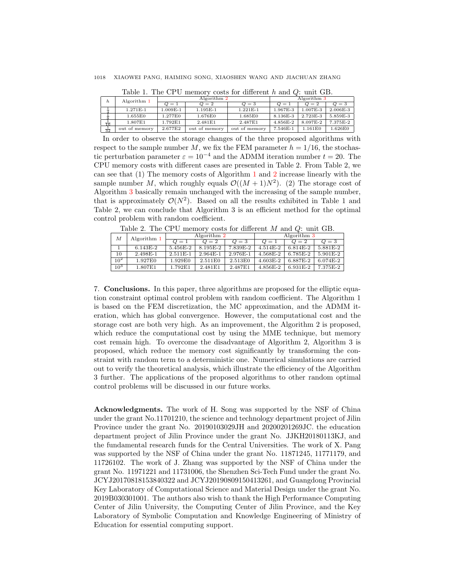| <b>I</b> able 1. The CI C memory costs for directive and $\varphi$ , and OD. |               |              |               |               |             |          |              |  |  |  |
|------------------------------------------------------------------------------|---------------|--------------|---------------|---------------|-------------|----------|--------------|--|--|--|
| h                                                                            | Algorithm 1   | Algorithm 2  |               |               | Algorithm 3 |          |              |  |  |  |
|                                                                              |               | $\omega = 1$ | $Q=2$         | $Q=3$         | $Q=1$       | $Q=2$    | $Q=3$        |  |  |  |
|                                                                              | 1.271E-1      | 1.009E-1     | 1.195E-1      | $1.221E-1$    | 1.967E-3    | 1.007E-3 | $2.006E - 3$ |  |  |  |
|                                                                              | 1.655E0       | 1.277E0      | 1.676E0       | 1.685E0       | 8.136E-3    | 2.723E-3 | 5.859E-3     |  |  |  |
| $\frac{1}{16}$                                                               | 1.807E1       | 1.792E1      | 2.481E1       | 2.487E1       | 4.856E-2    | 8.097E-2 | 7.375E-2     |  |  |  |
| $\frac{1}{32}$                                                               | out of memory | 2.677E2      | out of memory | out of memory | 7.546E-1    | 1.161E0  | 1.626E0      |  |  |  |

Table 1. The CPU memory costs for different h and  $Q$ : unit GB.

In order to observe the storage changes of the three proposed algorithms with respect to the sample number M, we fix the FEM parameter  $h = 1/16$ , the stochastic perturbation parameter  $\varepsilon = 10^{-4}$  and the ADMM iteration number  $t = 20$ . The CPU memory costs with different cases are presented in Table 2. From Table 2, we can see that (1) The memory costs of Algorithm [1](#page-8-1) and [2](#page-13-2) increase linearly with the sample number M, which roughly equals  $\mathcal{O}((M+1)N^2)$ . (2) The storage cost of Algorithm [3](#page-14-2) basically remain unchanged with the increasing of the sample number, that is approximately  $\mathcal{O}(N^2)$ . Based on all the results exhibited in Table 1 and Table 2, we can conclude that Algorithm 3 is an efficient method for the optimal control problem with random coefficient.

Table 2. The CPU memory costs for different M and Q: unit GB.

| М               | Algorithm 1 | Algorithm 2      |            |            | Algorithm $3$ |              |            |  |
|-----------------|-------------|------------------|------------|------------|---------------|--------------|------------|--|
|                 |             | $\overline{O}=1$ | $Q=2$      | $Q=3$      | $Q=1$         | $Q=2$        | $Q=3$      |  |
|                 | $6.143E-2$  | 5.456E-2         | 8.195E-2   | 7.839E-2   | 4.514E-2      | 6.814E-2     | 5.881 E-2  |  |
| 10              | 2.498E-1    | $2.511E-1$       | $2.964E-1$ | $2.976E-1$ | 4.568E-2      | 6.785E-2     | $5.901E-2$ |  |
| $10^{2}$        | 1.927E0     | 1.929E0          | 2.511E0    | 2.513E0    | $4.603E-2$    | 6.887E-2     | $6.074E-2$ |  |
| 10 <sup>3</sup> | 1.807E1     | 1.792E1          | 2.481E1    | 2.487E1    | 4.856E-2      | $6.931E - 2$ | 7.375E-2   |  |

<span id="page-17-0"></span>7. Conclusions. In this paper, three algorithms are proposed for the elliptic equation constraint optimal control problem with random coefficient. The Algorithm 1 is based on the FEM discretization, the MC approximation, and the ADMM iteration, which has global convergence. However, the computational cost and the storage cost are both very high. As an improvement, the Algorithm 2 is proposed, which reduce the computational cost by using the MME technique, but memory cost remain high. To overcome the disadvantage of Algorithm 2, Algorithm 3 is proposed, which reduce the memory cost significantly by transforming the constraint with random term to a deterministic one. Numerical simulations are carried out to verify the theoretical analysis, which illustrate the efficiency of the Algorithm 3 further. The applications of the proposed algorithms to other random optimal control problems will be discussed in our future works.

Acknowledgments. The work of H. Song was supported by the NSF of China under the grant No.11701210, the science and technology department project of Jilin Province under the grant No. 20190103029JH and 20200201269JC. the education department project of Jilin Province under the grant No. JJKH20180113KJ, and the fundamental research funds for the Central Universities. The work of X. Pang was supported by the NSF of China under the grant No. 11871245, 11771179, and 11726102. The work of J. Zhang was supported by the NSF of China under the grant No. 11971221 and 11731006, the Shenzhen Sci-Tech Fund under the grant No. JCYJ20170818153840322 and JCYJ20190809150413261, and Guangdong Provincial Key Laboratory of Computational Science and Material Design under the grant No. 2019B030301001. The authors also wish to thank the High Performance Computing Center of Jilin University, the Computing Center of Jilin Province, and the Key Laboratory of Symbolic Computation and Knowledge Engineering of Ministry of Education for essential computing support.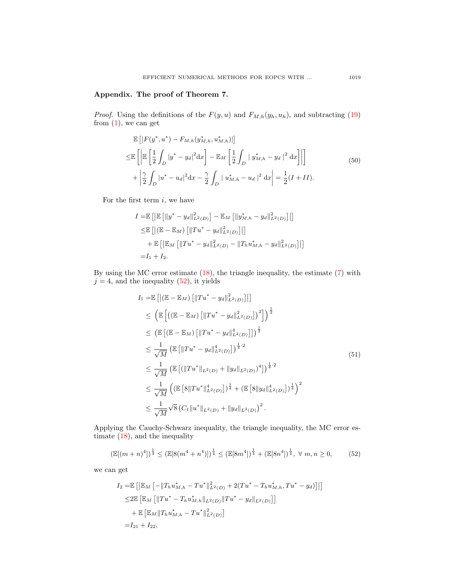# Appendix. The proof of Theorem 7.

*Proof.* Using the definitions of the  $F(y, u)$  and  $F_{M,h}(y_h, u_h)$ , and subtracting [\(19\)](#page-6-5) from  $(1)$ , we can get

<span id="page-18-1"></span>
$$
\mathbb{E}\left[|F(y^*, u^*) - F_{M,h}(y_{M,h}^*, u_{M,h}^*)|\right] \n\leq \mathbb{E}\left[\left|\mathbb{E}\left[\frac{1}{2}\int_D |y^* - y_d|^2 \,dx\right] - \mathbb{E}_M\left[\frac{1}{2}\int_D |y_{M,h}^* - y_d|^2 \,dx\right]\right|\right] \n+ \left|\frac{\gamma}{2}\int_D |u^* - u_d|^2 \,dx - \frac{\gamma}{2}\int_D |u_{M,h}^* - u_d|^2 \,dx\right| = \frac{1}{2}(I + II).
$$
\n(50)

For the first term  $i$ , we have

$$
I = \mathbb{E}\left[\left|\mathbb{E}\left[\left\|y^* - y_d\right\|_{L^2(D)}^2\right] - \mathbb{E}_M\left[\left\|y_{M,h}^* - y_d\right\|_{L^2(D)}^2\right]\right|\right]
$$
  
\n
$$
\leq \mathbb{E}\left[\left|\left(\mathbb{E} - \mathbb{E}_M\right)\left[\left\|Tu^* - y_d\right\|_{L^2(D)}^2\right]\right|\right]
$$
  
\n
$$
+ \mathbb{E}\left[\left\|\mathbb{E}_M\left[\left\|Tu^* - y_d\right\|_{L^2(D)}^2 - \left\|T_hu_{M,h}^* - y_d\right\|_{L^2(D)}^2\right]\right|\right]
$$
  
\n
$$
= I_1 + I_2.
$$

By using the MC error estimate [\(18\)](#page-6-6), the triangle inequality, the estimate [\(7\)](#page-4-2) with  $j = 4$ , and the inequality [\(52\)](#page-18-0), it yields

$$
I_{1} = \mathbb{E}\left[\left(|\mathbb{E} - \mathbb{E}_{M}\right) \left[||Tu^{*} - y_{d}||_{L^{2}(D)}^{2}\right]||\right]
$$
  
\n
$$
\leq \left(\mathbb{E}\left[\left((\mathbb{E} - \mathbb{E}_{M}\right) \left[||Tu^{*} - y_{d}||_{L^{2}(D)}^{2}\right]\right)^{2}\right] \right)^{\frac{1}{2}}
$$
  
\n
$$
\leq \left(\mathbb{E}\left[\left(\mathbb{E} - \mathbb{E}_{M}\right) \left[||Tu^{*} - y_{d}||_{L^{2}(D)}^{4}\right]\right]^{\frac{1}{2}}
$$
  
\n
$$
\leq \frac{1}{\sqrt{M}} \left(\mathbb{E}\left[\left||Tu^{*} - y_{d}||_{L^{2}(D)}^{4}\right]\right]^{\frac{1}{4}\cdot2}
$$
  
\n
$$
\leq \frac{1}{\sqrt{M}} \left(\mathbb{E}\left[\left(\left||Tu^{*}||_{L^{2}(D)} + ||y_{d}||_{L^{2}(D)}\right)^{4}\right]\right)^{\frac{1}{4}\cdot2}
$$
  
\n
$$
\leq \frac{1}{\sqrt{M}} \left(\left(\mathbb{E}\left[\left|\left|\left|Tu^{*}||_{L^{2}(D)}\right|\right.\right)\right|^{\frac{1}{4}} + \left(\mathbb{E}\left[\left|\left|\left|\left|y_{d}\right|\right|_{L^{2}(D)}\right|\right.\right)^{\frac{1}{4}}\right)^{2}
$$
  
\n
$$
\leq \frac{1}{\sqrt{M}} \sqrt{8} \left(C_{1}||u^{*}||_{L^{2}(D)} + ||y_{d}||_{L^{2}(D)}\right)^{2}.
$$
\n(51)

Applying the Cauchy-Schwarz inequality, the triangle inequality, the MC error estimate [\(18\)](#page-6-6), and the inequality

<span id="page-18-0"></span>
$$
\left(\mathbb{E}[(m+n)^4]\right)^{\frac{1}{4}} \le \left(\mathbb{E}[8(m^4+n^4)]\right)^{\frac{1}{4}} \le \left(\mathbb{E}[8m^4]\right)^{\frac{1}{4}} + \left(\mathbb{E}[8n^4]\right)^{\frac{1}{4}}, \ \forall \ m, n \ge 0,\tag{52}
$$

we can get

$$
I_2 = \mathbb{E}\left[\left|\mathbb{E}_M\left[-\|T_h u_{M,h}^* - T u^*\|_{L^2(D)}^2 + 2(T u^* - T_h u_{M,h}^*, T u^* - y_d)\right]\right|\right]
$$
  
\n
$$
\leq 2 \mathbb{E}\left[\mathbb{E}_M\left[\|T u^* - T_h u_{M,h}^*\|_{L^2(D)}\|T u^* - y_d\|_{L^2(D)}\right]\right]
$$
  
\n
$$
+ \mathbb{E}\left[\mathbb{E}_M\|T_h u_{M,h}^* - T u^*\|_{L^2(D)}^2\right]
$$
  
\n
$$
= I_{21} + I_{22},
$$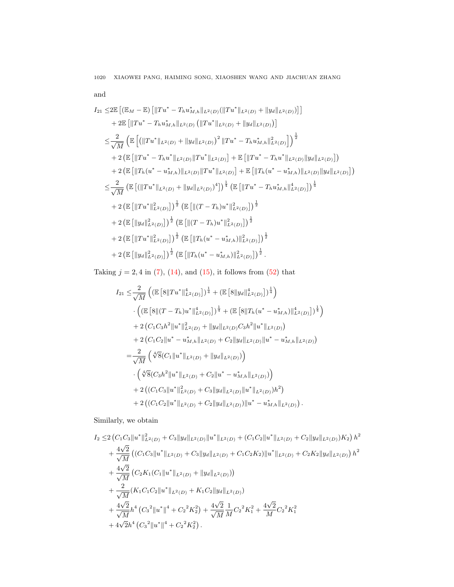and

$$
I_{21} \leq 2\mathbb{E}\left[\left(\mathbb{E}_{M}-\mathbb{E}\right)\left[\|Tu^{*}-T_{h}u_{M,h}^{*}\|_{L^{2}(D)}(\|Tu^{*}\|_{L^{2}(D)}+\|y_{d}\|_{L^{2}(D)})\right]\right]
$$
  
+2\mathbb{E}\left[\|Tu^{\*}-T\_{h}u\_{M,h}^{\*}\|\_{L^{2}(D)}(\|Tu^{\*}\|\_{L^{2}(D)}+\|y\_{d}\|\_{L^{2}(D)})\right]  

$$
\leq \frac{2}{\sqrt{M}}\left(\mathbb{E}\left[\left(\|Tu^{*}\|_{L^{2}(D)}+\|y_{d}\|_{L^{2}(D)}\right)^{2}\|Tu^{*}-T_{h}u_{M,h}^{*}\|_{L^{2}(D)}^{2}\right]\right)^{\frac{1}{2}}
$$
  
+2\left(\mathbb{E}\left[\|Tu^{\*}-T\_{h}u^{\*}\|\_{L^{2}(D)}\|Tu^{\*}\|\_{L^{2}(D)}\right]+\mathbb{E}\left[\|Tu^{\*}-T\_{h}u^{\*}\|\_{L^{2}(D)}\|y\_{d}\|\_{L^{2}(D)}\right]\right)  
+2\left(\mathbb{E}\left[\|T\_{h}(u^{\*}-u\_{M,h}^{\*})\|\_{L^{2}(D)}\|Tu^{\*}\|\_{L^{2}(D)}\right]+\mathbb{E}\left[\|T\_{h}(u^{\*}-u\_{M,h}^{\*})\|\_{L^{2}(D)}\|y\_{d}\|\_{L^{2}(D)}\right]\right)  

$$
\leq \frac{2}{\sqrt{M}}\left(\mathbb{E}\left[\left(\|Tu^{*}\|_{L^{2}(D)}+\|y_{d}\|_{L^{2}(D)}\right)^{4}\right)^{\frac{1}{4}}\left(\mathbb{E}\left[\|Tu^{*}-T_{h}u_{M,h}^{*}\|_{L^{2}(D)}^{4}\right]\right)^{\frac{1}{4}}
$$
  
+2\left(\mathbb{E}\left[\|Tu^{\*}\|\_{L^{2}(D)}^{2}\right]\right)^{\frac{1}{2}}\left(\mathbb{E}\left[\|(T-T\_{h})u^{\*}\|\_{L^{2}(D)}^{2}\right]\right)^{\frac{1}{2}}  
+2\left(\mathbb{E}\left[\|y\_{d}\|\_{L^{2}(D)}^{2}\right]\right)^{\frac{1}{2}}\left(\mathbb{E}\left[\|(T-T\_{h})u^{\*}\|\_{L^{2}(D)}^{2}\right]\right)^{\

Taking  $j = 2, 4$  in [\(7\)](#page-4-2), [\(14\)](#page-5-3), and [\(15\)](#page-5-5), it follows from [\(52\)](#page-18-0) that

$$
I_{21} \leq \frac{2}{\sqrt{M}} \left( \left( \mathbb{E} \left[ 8 \| T u^* \|_{L^2(D)}^4 \right] \right)^{\frac{1}{4}} + \left( \mathbb{E} \left[ 8 \| y_d \|_{L^2(D)}^4 \right] \right)^{\frac{1}{4}} \right) \n\cdot \left( \left( \mathbb{E} \left[ 8 \| (T - T_h) u^* \|_{L^2(D)}^4 \right] \right)^{\frac{1}{4}} + \left( \mathbb{E} \left[ 8 \| T_h (u^* - u_{M,h}^*) \|_{L^2(D)}^4 \right] \right)^{\frac{1}{4}} \right) \n+ 2 \left( C_1 C_3 h^2 \| u^* \|_{L^2(D)}^2 + \| y_d \|_{L^2(D)} C_3 h^2 \| u^* \|_{L^2(D)} \right) \n+ 2 \left( C_1 C_2 \| u^* - u_{M,h}^* \|_{L^2(D)} + C_2 \| y_d \|_{L^2(D)} \| u^* - u_{M,h}^* \|_{L^2(D)} \right) \n= \frac{2}{\sqrt{M}} \left( \sqrt[4]{8} (C_1 \| u^* \|_{L^2(D)} + \| y_d \|_{L^2(D)}) \right) \n\cdot \left( \sqrt[4]{8} (C_3 h^2 \| u^* \|_{L^2(D)} + C_2 \| u^* - u_{M,h}^* \|_{L^2(D)}) \right) \n+ 2 \left( (C_1 C_3 \| u^* \|_{L^2(D)}^2 + C_3 \| y_d \|_{L^2(D)} \| u^* \|_{L^2(D)}) h^2 \right) \n+ 2 \left( (C_1 C_2 \| u^* \|_{L^2(D)} + C_2 \| y_d \|_{L^2(D)}) \| u^* - u_{M,h}^* \|_{L^2(D)} \right).
$$

Similarly, we obtain

$$
I_2 \leq 2 \left( C_1 C_3 \|u^*\|_{L^2(D)}^2 + C_3 \|y_d\|_{L^2(D)} \|u^*\|_{L^2(D)} + (C_1 C_2 \|u^*\|_{L^2(D)} + C_2 \|y_d\|_{L^2(D)}) K_2 \right) h^2
$$
  
+ 
$$
\frac{4\sqrt{2}}{\sqrt{M}} \left( \left( C_1 C_3 \|u^*\|_{L^2(D)} + C_3 \|y_d\|_{L^2(D)} + C_1 C_2 K_2 \right) \|u^*\|_{L^2(D)} + C_2 K_2 \|y_d\|_{L^2(D)} \right) h^2
$$
  
+ 
$$
\frac{4\sqrt{2}}{\sqrt{M}} \left( C_2 K_1 (C_1 \|u^*\|_{L^2(D)} + \|y_d\|_{L^2(D)}) \right)
$$
  
+ 
$$
\frac{2}{\sqrt{M}} \left( K_1 C_1 C_2 \|u^*\|_{L^2(D)} + K_1 C_2 \|y_d\|_{L^2(D)} \right)
$$
  
+ 
$$
\frac{4\sqrt{2}}{\sqrt{M}} h^4 \left( C_3^2 \|u^*\|^4 + C_2^2 K_2^2 \right) + \frac{4\sqrt{2}}{\sqrt{M}} \frac{1}{M} C_2^2 K_1^2 + \frac{4\sqrt{2}}{M} C_2^2 K_1^2
$$
  
+ 
$$
4\sqrt{2} h^4 \left( C_3^2 \|u^*\|^4 + C_2^2 K_2^2 \right).
$$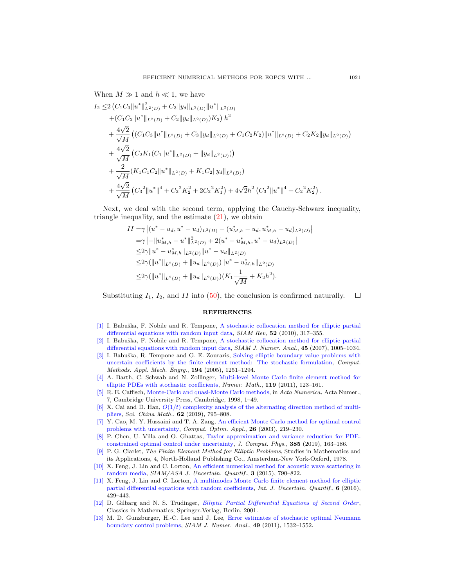When  $M \gg 1$  and  $h \ll 1$ , we have

$$
I_2 \leq 2 \left( C_1 C_3 \|u^* \|_{L^2(D)}^2 + C_3 \|y_d\|_{L^2(D)} \|u^* \|_{L^2(D)} \right. \\
\left. + \left( C_1 C_2 \|u^* \|_{L^2(D)} + C_2 \|y_d\|_{L^2(D)} \right) K_2 \right) h^2 \\
+ \frac{4\sqrt{2}}{\sqrt{M}} \left( \left( C_1 C_3 \|u^* \|_{L^2(D)} + C_3 \|y_d\|_{L^2(D)} + C_1 C_2 K_2 \|u^* \|_{L^2(D)} + C_2 K_2 \|y_d\|_{L^2(D)} \right) \right. \\
\left. + \frac{4\sqrt{2}}{\sqrt{M}} \left( C_2 K_1 (C_1 \|u^* \|_{L^2(D)} + \|y_d\|_{L^2(D)}) \right) \\
+ \frac{2}{\sqrt{M}} \left( K_1 C_1 C_2 \|u^* \|_{L^2(D)} + K_1 C_2 \|y_d\|_{L^2(D)} \right) \\
+ \frac{4\sqrt{2}}{\sqrt{M}} \left( C_3^2 \|u^* \|^4 + C_2^2 K_2^2 + 2C_2^2 K_1^2 \right) + 4\sqrt{2} h^2 \left( C_3^2 \|u^* \|^4 + C_2^2 K_2^2 \right).
$$

Next, we deal with the second term, applying the Cauchy-Schwarz inequality, triangle inequality, and the estimate [\(21\)](#page-6-2), we obtain

$$
II = \gamma | (u^* - u_d, u^* - u_d)_{L^2(D)} - (u^*_{M,h} - u_d, u^*_{M,h} - u_d)_{L^2(D)} |
$$
  
\n
$$
= \gamma | - ||u^*_{M,h} - u^*||^2_{L^2(D)} + 2(u^* - u^*_{M,h}, u^* - u_d)_{L^2(D)} |
$$
  
\n
$$
\leq 2\gamma ||u^* - u^*_{M,h}||_{L^2(D)} ||u^* - u_d||_{L^2(D)}
$$
  
\n
$$
\leq 2\gamma (||u^*||_{L^2(D)} + ||u_d||_{L^2(D)}) ||u^* - u^*_{M,h}||_{L^2(D)}
$$
  
\n
$$
\leq 2\gamma (||u^*||_{L^2(D)} + ||u_d||_{L^2(D)})(K_1 \frac{1}{\sqrt{M}} + K_2 h^2).
$$

Substituting  $I_1$ ,  $I_2$ , and  $II$  into [\(50\)](#page-18-1), the conclusion is confirmed naturally.  $\Box$ 

#### REFERENCES

- <span id="page-20-4"></span>[\[1\]](http://www.ams.org/mathscinet-getitem?mr=MR2646806&return=pdf) I. Babuška, F. Nobile and R. Tempone, [A stochastic collocation method for elliptic partial](http://dx.doi.org/10.1137/100786356) [differential equations with random input data,](http://dx.doi.org/10.1137/100786356) SIAM Rev, 52 (2010), 317-355.
- <span id="page-20-5"></span>[\[2\]](http://www.ams.org/mathscinet-getitem?mr=MR2318799&return=pdf) I. Babuška, F. Nobile and R. Tempone, [A stochastic collocation method for elliptic partial](http://dx.doi.org/10.1137/050645142) [differential equations with random input data,](http://dx.doi.org/10.1137/050645142) SIAM J. Numer. Anal., 45 (2007), 1005–1034.
- <span id="page-20-6"></span>[\[3\]](http://www.ams.org/mathscinet-getitem?mr=MR2121215&return=pdf) I. Babuška, R. Tempone and G. E. Zouraris, [Solving elliptic boundary value problems with](http://dx.doi.org/10.1016/j.cma.2004.02.026) [uncertain coefficients by the finite element method: The stochastic formulation,](http://dx.doi.org/10.1016/j.cma.2004.02.026) Comput. Methods. Appl. Mech. Engrg., 194 (2005), 1251–1294.
- <span id="page-20-10"></span>[\[4\]](http://www.ams.org/mathscinet-getitem?mr=MR2824857&return=pdf) A. Barth, C. Schwab and N. Zollinger, [Multi-level Monte Carlo finite element method for](http://dx.doi.org/10.1007/s00211-011-0377-0) [elliptic PDEs with stochastic coefficients,](http://dx.doi.org/10.1007/s00211-011-0377-0) Numer. Math., 119 (2011), 123–161.
- <span id="page-20-3"></span>[\[5\]](http://www.ams.org/mathscinet-getitem?mr=MR1689431&return=pdf) R. E. Caflisch, [Monte-Carlo and quasi-Monte Carlo methods,](http://dx.doi.org/10.1017/S0962492900002804) in Acta Numerica, Acta Numer., 7, Cambridge University Press, Cambridge, 1998, 1–49.
- <span id="page-20-8"></span>[\[6\]](http://www.ams.org/mathscinet-getitem?mr=MR3927289&return=pdf) X. Cai and D. Han,  $O(1/t)$  complexity analysis of the alternating direction method of multi[pliers,](http://dx.doi.org/10.1007/s11425-016-9184-4) Sci. China Math., **62** (2019), 795–808.
- <span id="page-20-0"></span>[\[7\]](http://www.ams.org/mathscinet-getitem?mr=MR2013363&return=pdf) Y. Cao, M. Y. Hussaini and T. A. Zang, [An efficient Monte Carlo method for optimal control](http://dx.doi.org/10.1023/A:1026079021836) [problems with uncertainty,](http://dx.doi.org/10.1023/A:1026079021836) Comput. Optim. Appl., 26 (2003), 219-230.
- <span id="page-20-2"></span>[\[8\]](http://www.ams.org/mathscinet-getitem?mr=MR3920938&return=pdf) P. Chen, U. Villa and O. Ghattas, [Taylor approximation and variance reduction for PDE](http://dx.doi.org/10.1016/j.jcp.2019.01.047)[constrained optimal control under uncertainty,](http://dx.doi.org/10.1016/j.jcp.2019.01.047) J. Comput. Phys., 385 (2019), 163–186.
- <span id="page-20-9"></span>[\[9\]](http://www.ams.org/mathscinet-getitem?mr=MR0520174&return=pdf) P. G. Ciarlet, The Finite Element Method for Elliptic Problems, Studies in Mathematics and its Applications, 4, North-Holland Publishing Co., Amsterdam-New York-Oxford, 1978.
- <span id="page-20-12"></span>[\[10\]](http://www.ams.org/mathscinet-getitem?mr=MR3394366&return=pdf) X. Feng, J. Lin and C. Lorton, [An efficient numerical method for acoustic wave scattering in](http://dx.doi.org/10.1137/140958232) [random media,](http://dx.doi.org/10.1137/140958232) SIAM/ASA J. Uncertain. Quantif., 3 (2015), 790–822.
- <span id="page-20-7"></span>[\[11\]](http://www.ams.org/mathscinet-getitem?mr=MR3636926&return=pdf) X. Feng, J. Lin and C. Lorton, [A multimodes Monte Carlo finite element method for elliptic](http://dx.doi.org/10.1615/Int.J.UncertaintyQuantification.2016016805) [partial differential equations with random coefficients,](http://dx.doi.org/10.1615/Int.J.UncertaintyQuantification.2016016805) Int. J. Uncertain. Quantif., 6 (2016), 429–443.
- <span id="page-20-11"></span>[\[12\]](http://www.ams.org/mathscinet-getitem?mr=MR1814364&return=pdf) D. Gilbarg and N. S. Trudinger, *[Elliptic Partial Differential Equations of Second Order](http://dx.doi.org/10.1007/978-3-642-61798-0)*, Classics in Mathematics, Springer-Verlag, Berlin, 2001.
- <span id="page-20-1"></span>[\[13\]](http://www.ams.org/mathscinet-getitem?mr=MR2831060&return=pdf) M. D. Gunzburger, H.-C. Lee and J. Lee, [Error estimates of stochastic optimal Neumann](http://dx.doi.org/10.1137/100801731) [boundary control problems,](http://dx.doi.org/10.1137/100801731) SIAM J. Numer. Anal., 49 (2011), 1532–1552.